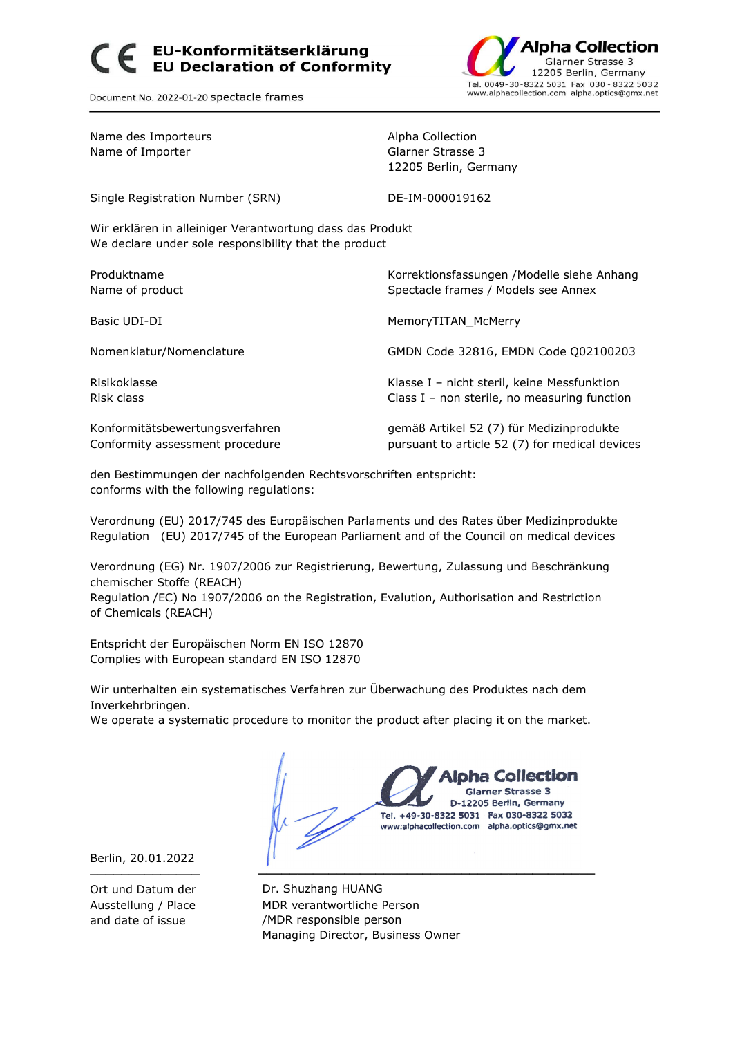## EU-Konformitätserklärung<br>EU Declaration of Conformity



Document No. 2022-01-20 spectacle frames

| Name des Importeurs<br>Name of Importer                                                                            | Alpha Collection<br>Glarner Strasse 3<br>12205 Berlin, Germany                              |
|--------------------------------------------------------------------------------------------------------------------|---------------------------------------------------------------------------------------------|
| Single Registration Number (SRN)                                                                                   | DE-IM-000019162                                                                             |
| Wir erklären in alleiniger Verantwortung dass das Produkt<br>We declare under sole responsibility that the product |                                                                                             |
| Produktname<br>Name of product                                                                                     | Korrektionsfassungen / Modelle siehe Anhang<br>Spectacle frames / Models see Annex          |
| Basic UDI-DI                                                                                                       | MemoryTITAN McMerry                                                                         |
| Nomenklatur/Nomenclature                                                                                           | GMDN Code 32816, EMDN Code Q02100203                                                        |
| Risikoklasse<br>Risk class                                                                                         | Klasse I - nicht steril, keine Messfunktion<br>Class I – non sterile, no measuring function |
| Konformitätsbewertungsverfahren<br>Conformity assessment procedure                                                 | gemäß Artikel 52 (7) für Medizinprodukte<br>pursuant to article 52 (7) for medical devices  |

den Bestimmungen der nachfolgenden Rechtsvorschriften entspricht: conforms with the following regulations:

Verordnung (EU) 2017/745 des Europäischen Parlaments und des Rates über Medizinprodukte Regulation (EU) 2017/745 of the European Parliament and of the Council on medical devices

Verordnung (EG) Nr. 1907/2006 zur Registrierung, Bewertung, Zulassung und Beschränkung chemischer Stoffe (REACH)

Regulation /EC) No 1907/2006 on the Registration, Evalution, Authorisation and Restriction of Chemicals (REACH)

Entspricht der Europäischen Norm EN ISO 12870 Complies with European standard EN ISO 12870

Wir unterhalten ein systematisches Verfahren zur Überwachung des Produktes nach dem Inverkehrbringen.

We operate a systematic procedure to monitor the product after placing it on the market.

pha Collection **Glarner Strasse 3** D-12205 Berlin, Germany Tel. +49-30-8322 5031 Fax 030-8322 5032 www.alphacollection.com alpha.optics@gmx.net ────────────── ───────────────────────────────────────────

Berlin, 20.01.2022

Ort und Datum der Dr. Shuzhang HUANG Ausstellung / Place MDR verantwortliche Person and date of issue /MDR responsible person Managing Director, Business Owner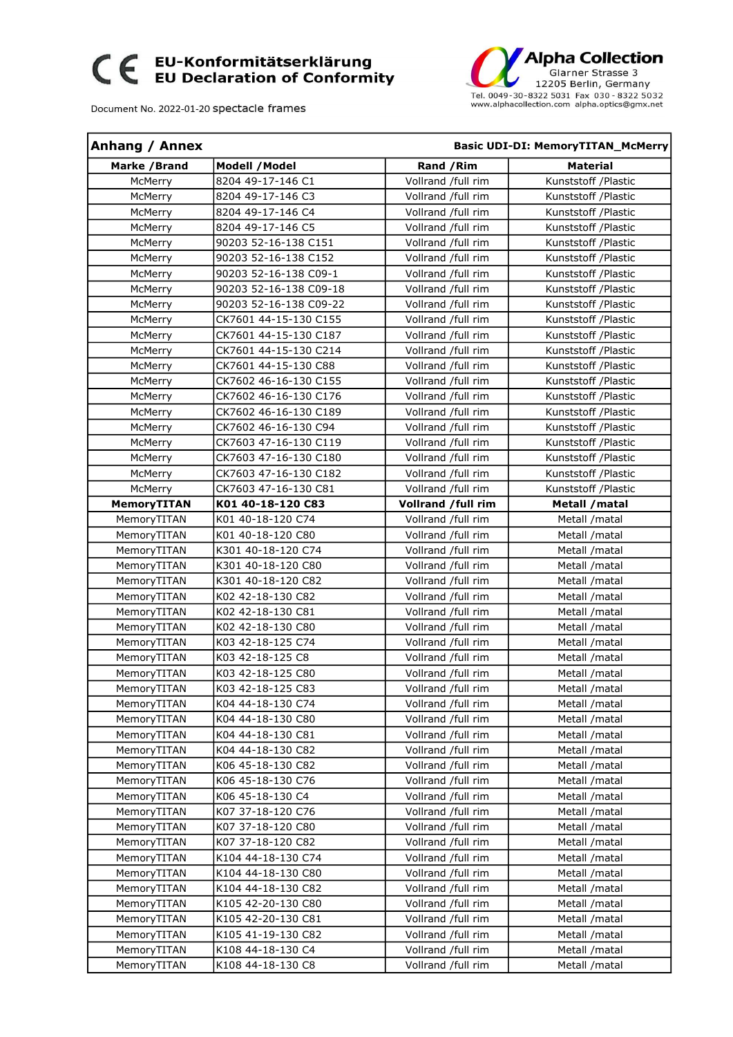## CE EU-Konformitätserklärung<br>CE EU Declaration of Conformity

Document No. 2022-01-20 spectacle frames



| <b>Anhang / Annex</b> |                        |                    | <b>Basic UDI-DI: MemoryTITAN McMerry</b> |
|-----------------------|------------------------|--------------------|------------------------------------------|
| Marke / Brand         | Modell / Model         | Rand / Rim         | <b>Material</b>                          |
| McMerry               | 8204 49-17-146 C1      | Vollrand /full rim | Kunststoff / Plastic                     |
| McMerry               | 8204 49-17-146 C3      | Vollrand /full rim | Kunststoff / Plastic                     |
| McMerry               | 8204 49-17-146 C4      | Vollrand /full rim | Kunststoff /Plastic                      |
| McMerry               | 8204 49-17-146 C5      | Vollrand /full rim | Kunststoff / Plastic                     |
| McMerry               | 90203 52-16-138 C151   | Vollrand /full rim | Kunststoff /Plastic                      |
| McMerry               | 90203 52-16-138 C152   | Vollrand /full rim | Kunststoff /Plastic                      |
| McMerry               | 90203 52-16-138 C09-1  | Vollrand /full rim | Kunststoff /Plastic                      |
| McMerry               | 90203 52-16-138 C09-18 | Vollrand /full rim | Kunststoff /Plastic                      |
| McMerry               | 90203 52-16-138 C09-22 | Vollrand /full rim | Kunststoff /Plastic                      |
| McMerry               | CK7601 44-15-130 C155  | Vollrand /full rim | Kunststoff / Plastic                     |
| McMerry               | CK7601 44-15-130 C187  | Vollrand /full rim | Kunststoff / Plastic                     |
| McMerry               | CK7601 44-15-130 C214  | Vollrand /full rim | Kunststoff / Plastic                     |
| McMerry               | CK7601 44-15-130 C88   | Vollrand /full rim | Kunststoff /Plastic                      |
| McMerry               | CK7602 46-16-130 C155  | Vollrand /full rim | Kunststoff /Plastic                      |
| McMerry               | CK7602 46-16-130 C176  | Vollrand /full rim | Kunststoff /Plastic                      |
| McMerry               | CK7602 46-16-130 C189  | Vollrand /full rim | Kunststoff /Plastic                      |
| McMerry               | CK7602 46-16-130 C94   | Vollrand /full rim | Kunststoff /Plastic                      |
| McMerry               | CK7603 47-16-130 C119  | Vollrand /full rim | Kunststoff / Plastic                     |
| McMerry               | CK7603 47-16-130 C180  | Vollrand /full rim | Kunststoff / Plastic                     |
| McMerry               | CK7603 47-16-130 C182  | Vollrand /full rim | Kunststoff /Plastic                      |
| McMerry               | CK7603 47-16-130 C81   | Vollrand /full rim | Kunststoff / Plastic                     |
| <b>MemoryTITAN</b>    | K01 40-18-120 C83      | Vollrand /full rim | Metall / matal                           |
| MemoryTITAN           | K01 40-18-120 C74      | Vollrand /full rim | Metall /matal                            |
| MemoryTITAN           | K01 40-18-120 C80      | Vollrand /full rim | Metall /matal                            |
| MemoryTITAN           | K301 40-18-120 C74     | Vollrand /full rim | Metall /matal                            |
| MemoryTITAN           | K301 40-18-120 C80     | Vollrand /full rim | Metall /matal                            |
| MemoryTITAN           | K301 40-18-120 C82     | Vollrand /full rim | Metall /matal                            |
| MemoryTITAN           | K02 42-18-130 C82      | Vollrand /full rim | Metall /matal                            |
| MemoryTITAN           | K02 42-18-130 C81      | Vollrand /full rim | Metall /matal                            |
| MemoryTITAN           | K02 42-18-130 C80      | Vollrand /full rim | Metall /matal                            |
| MemoryTITAN           | K03 42-18-125 C74      | Vollrand /full rim | Metall /matal                            |
| MemoryTITAN           | K03 42-18-125 C8       | Vollrand /full rim | Metall /matal                            |
| MemoryTITAN           | K03 42-18-125 C80      | Vollrand /full rim | Metall /matal                            |
| MemoryTITAN           | K03 42-18-125 C83      | Vollrand /full rim | Metall /matal                            |
| MemoryTITAN           | K04 44-18-130 C74      | Vollrand /full rim | Metall /matal                            |
| MemoryTITAN           | K04 44-18-130 C80      | Vollrand /full rim | Metall /matal                            |
| MemoryTITAN           | K04 44-18-130 C81      | Vollrand /full rim | Metall /matal                            |
| MemoryTITAN           | K04 44-18-130 C82      | Vollrand /full rim | Metall /matal                            |
| MemoryTITAN           | K06 45-18-130 C82      | Vollrand /full rim | Metall /matal                            |
| MemoryTITAN           | K06 45-18-130 C76      | Vollrand /full rim | Metall /matal                            |
| MemoryTITAN           | K06 45-18-130 C4       | Vollrand /full rim | Metall /matal                            |
| MemoryTITAN           | K07 37-18-120 C76      | Vollrand /full rim | Metall /matal                            |
| MemoryTITAN           | K07 37-18-120 C80      | Vollrand /full rim | Metall /matal                            |
| MemoryTITAN           | K07 37-18-120 C82      | Vollrand /full rim | Metall /matal                            |
| MemoryTITAN           | K104 44-18-130 C74     | Vollrand /full rim | Metall /matal                            |
| MemoryTITAN           | K104 44-18-130 C80     | Vollrand /full rim | Metall /matal                            |
| MemoryTITAN           | K104 44-18-130 C82     | Vollrand /full rim | Metall /matal                            |
| MemoryTITAN           | K105 42-20-130 C80     | Vollrand /full rim | Metall /matal                            |
| MemoryTITAN           | K105 42-20-130 C81     | Vollrand /full rim | Metall /matal                            |
| MemoryTITAN           | K105 41-19-130 C82     | Vollrand /full rim | Metall /matal                            |
| MemoryTITAN           | K108 44-18-130 C4      | Vollrand /full rim | Metall /matal                            |
| MemoryTITAN           | K108 44-18-130 C8      | Vollrand /full rim | Metall /matal                            |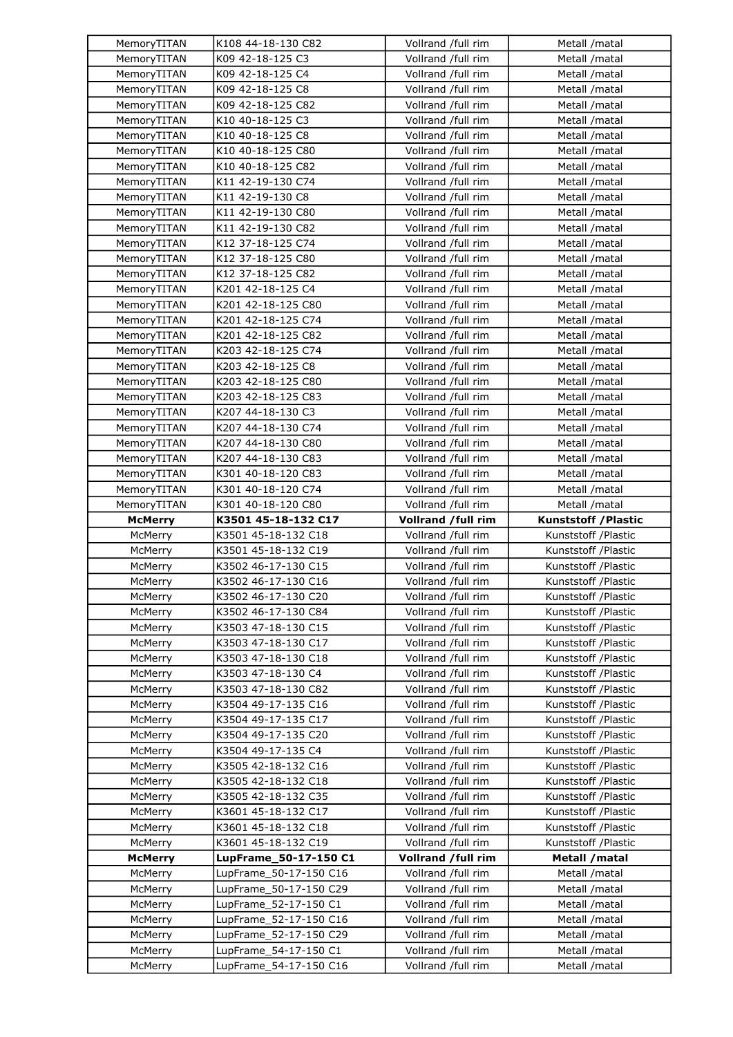| MemoryTITAN<br>K108 44-18-130 C82<br>Vollrand /full rim                    | Metall /matal              |
|----------------------------------------------------------------------------|----------------------------|
| K09 42-18-125 C3<br>Vollrand /full rim<br>MemoryTITAN                      | Metall /matal              |
| MemoryTITAN<br>K09 42-18-125 C4<br>Vollrand /full rim                      | Metall /matal              |
| Vollrand /full rim<br>MemoryTITAN<br>K09 42-18-125 C8                      | Metall /matal              |
| K09 42-18-125 C82<br>Vollrand /full rim<br>MemoryTITAN                     | Metall /matal              |
| K10 40-18-125 C3<br>Vollrand /full rim<br>MemoryTITAN                      | Metall /matal              |
| K10 40-18-125 C8<br>MemoryTITAN<br>Vollrand /full rim                      | Metall /matal              |
| K10 40-18-125 C80<br>MemoryTITAN<br>Vollrand /full rim                     | Metall /matal              |
| K10 40-18-125 C82<br>Vollrand /full rim<br>MemoryTITAN                     | Metall /matal              |
| MemoryTITAN<br>K11 42-19-130 C74<br>Vollrand /full rim                     | Metall /matal              |
| K11 42-19-130 C8<br>Vollrand /full rim                                     | Metall /matal              |
| MemoryTITAN<br>K11 42-19-130 C80<br>MemoryTITAN<br>Vollrand /full rim      |                            |
|                                                                            | Metall /matal              |
| MemoryTITAN<br>K11 42-19-130 C82<br>Vollrand /full rim                     | Metall /matal              |
| K12 37-18-125 C74<br>Vollrand /full rim<br>MemoryTITAN                     | Metall /matal              |
| MemoryTITAN<br>K12 37-18-125 C80<br>Vollrand /full rim                     | Metall /matal              |
| MemoryTITAN<br>K12 37-18-125 C82<br>Vollrand /full rim                     | Metall /matal              |
| MemoryTITAN<br>K201 42-18-125 C4<br>Vollrand /full rim                     | Metall /matal              |
| K201 42-18-125 C80<br>Vollrand /full rim<br>MemoryTITAN                    | Metall /matal              |
| K201 42-18-125 C74<br>Vollrand /full rim<br>MemoryTITAN                    | Metall /matal              |
| K201 42-18-125 C82<br>Vollrand /full rim<br>MemoryTITAN                    | Metall /matal              |
| K203 42-18-125 C74<br>Vollrand /full rim<br>MemoryTITAN                    | Metall /matal              |
| K203 42-18-125 C8<br>Vollrand /full rim<br>MemoryTITAN                     | Metall /matal              |
| K203 42-18-125 C80<br>Vollrand /full rim<br>MemoryTITAN                    | Metall /matal              |
| K203 42-18-125 C83<br>Vollrand /full rim<br>MemoryTITAN                    | Metall /matal              |
| K207 44-18-130 C3<br>MemoryTITAN<br>Vollrand /full rim                     | Metall /matal              |
| K207 44-18-130 C74<br>Vollrand /full rim<br>MemoryTITAN                    | Metall /matal              |
| K207 44-18-130 C80<br>Vollrand /full rim<br>MemoryTITAN                    | Metall /matal              |
|                                                                            | Metall /matal              |
| MemoryTITAN<br>K207 44-18-130 C83                                          |                            |
| Vollrand /full rim                                                         |                            |
| Vollrand /full rim<br>MemoryTITAN<br>K301 40-18-120 C83                    | Metall /matal              |
| K301 40-18-120 C74<br>Vollrand /full rim<br>MemoryTITAN                    | Metall /matal              |
| K301 40-18-120 C80<br>MemoryTITAN<br>Vollrand /full rim<br><b>McMerry</b>  | Metall /matal              |
| K3501 45-18-132 C17<br>Vollrand /full rim<br>Vollrand /full rim<br>McMerry | <b>Kunststoff /Plastic</b> |
| K3501 45-18-132 C18                                                        | Kunststoff /Plastic        |
| K3501 45-18-132 C19<br>McMerry<br>Vollrand /full rim                       | Kunststoff /Plastic        |
| K3502 46-17-130 C15<br>Vollrand /full rim<br>McMerry                       | Kunststoff /Plastic        |
| K3502 46-17-130 C16<br>Vollrand /full rim<br>McMerry                       | Kunststoff /Plastic        |
| K3502 46-17-130 C20<br>Vollrand /full rim<br>McMerry                       | Kunststoff /Plastic        |
| K3502 46-17-130 C84<br>Vollrand /full rim<br>McMerry                       | Kunststoff /Plastic        |
| K3503 47-18-130 C15<br>Vollrand /full rim<br>McMerry                       | Kunststoff /Plastic        |
| K3503 47-18-130 C17<br>Vollrand /full rim<br>McMerry                       | Kunststoff /Plastic        |
| Vollrand /full rim<br>McMerry<br>K3503 47-18-130 C18                       | Kunststoff /Plastic        |
| Vollrand /full rim<br>McMerry<br>K3503 47-18-130 C4                        | Kunststoff /Plastic        |
| K3503 47-18-130 C82<br>McMerry<br>Vollrand /full rim                       | Kunststoff /Plastic        |
| K3504 49-17-135 C16<br>Vollrand /full rim<br>McMerry                       | Kunststoff /Plastic        |
| McMerry<br>K3504 49-17-135 C17<br>Vollrand /full rim                       | Kunststoff /Plastic        |
| K3504 49-17-135 C20<br>Vollrand /full rim<br>McMerry                       | Kunststoff /Plastic        |
| K3504 49-17-135 C4<br>Vollrand /full rim<br>McMerry                        | Kunststoff /Plastic        |
| K3505 42-18-132 C16<br>Vollrand /full rim<br>McMerry                       | Kunststoff /Plastic        |
| K3505 42-18-132 C18<br>Vollrand /full rim<br>McMerry                       | Kunststoff /Plastic        |
| Vollrand /full rim<br>McMerry<br>K3505 42-18-132 C35                       | Kunststoff /Plastic        |
| K3601 45-18-132 C17<br>Vollrand /full rim<br>McMerry                       | Kunststoff /Plastic        |
| Vollrand /full rim<br>K3601 45-18-132 C18<br>McMerry                       | Kunststoff /Plastic        |
| Vollrand /full rim<br>McMerry<br>K3601 45-18-132 C19                       | Kunststoff /Plastic        |
| Vollrand /full rim<br><b>McMerry</b><br>LupFrame_50-17-150 C1              | Metall / matal             |
| LupFrame_50-17-150 C16<br>Vollrand /full rim<br>McMerry                    | Metall /matal              |
| LupFrame_50-17-150 C29<br>Vollrand /full rim<br>McMerry                    | Metall /matal              |
| McMerry<br>LupFrame_52-17-150 C1<br>Vollrand /full rim                     | Metall /matal              |
| McMerry<br>LupFrame_52-17-150 C16<br>Vollrand /full rim                    | Metall /matal              |
| LupFrame_52-17-150 C29<br>Vollrand /full rim<br>McMerry                    | Metall /matal              |
| LupFrame_54-17-150 C1<br>Vollrand /full rim<br>McMerry                     | Metall /matal              |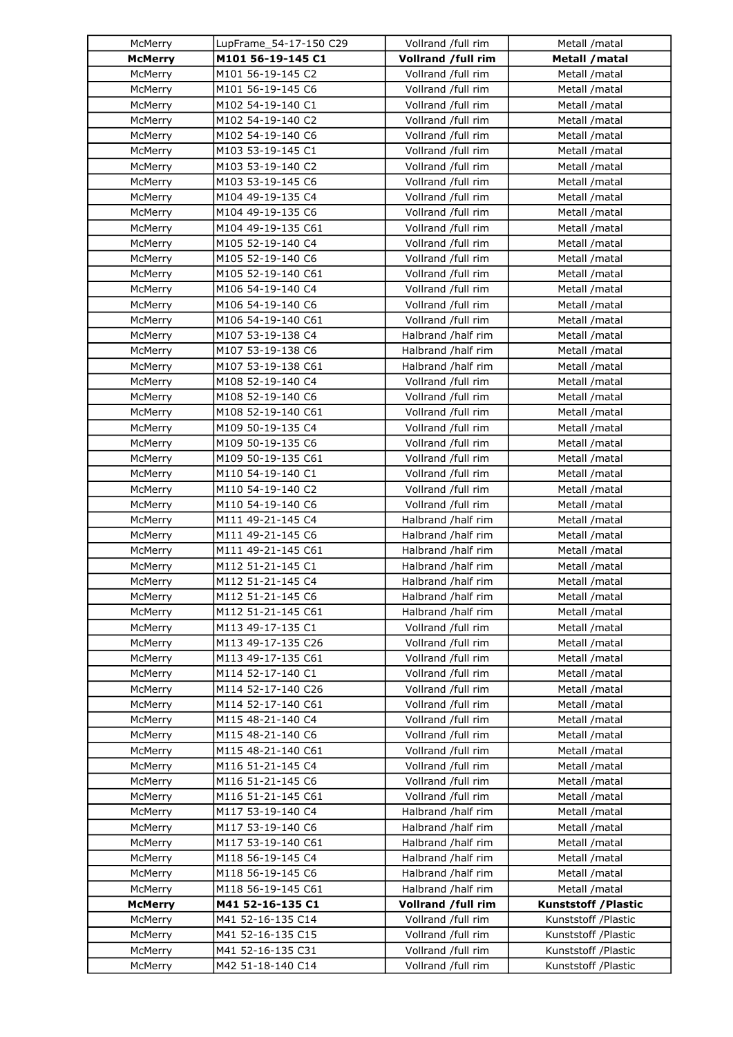| McMerry        | LupFrame_54-17-150 C29 | Vollrand /full rim | Metall /matal               |
|----------------|------------------------|--------------------|-----------------------------|
| <b>McMerry</b> | M101 56-19-145 C1      | Vollrand /full rim | Metall / matal              |
| McMerry        | M101 56-19-145 C2      | Vollrand /full rim | Metall /matal               |
| McMerry        | M101 56-19-145 C6      | Vollrand /full rim | Metall /matal               |
| McMerry        | M102 54-19-140 C1      | Vollrand /full rim | Metall /matal               |
| McMerry        | M102 54-19-140 C2      | Vollrand /full rim | Metall /matal               |
| McMerry        | M102 54-19-140 C6      | Vollrand /full rim | Metall /matal               |
| McMerry        | M103 53-19-145 C1      | Vollrand /full rim | Metall / matal              |
| McMerry        | M103 53-19-140 C2      | Vollrand /full rim | Metall /matal               |
| McMerry        | M103 53-19-145 C6      | Vollrand /full rim | Metall /matal               |
| McMerry        | M104 49-19-135 C4      | Vollrand /full rim | Metall /matal               |
| McMerry        | M104 49-19-135 C6      | Vollrand /full rim | Metall /matal               |
| McMerry        | M104 49-19-135 C61     | Vollrand /full rim | Metall /matal               |
| McMerry        | M105 52-19-140 C4      | Vollrand /full rim | Metall /matal               |
| McMerry        | M105 52-19-140 C6      | Vollrand /full rim |                             |
|                |                        |                    | Metall /matal               |
| McMerry        | M105 52-19-140 C61     | Vollrand /full rim | Metall /matal               |
| McMerry        | M106 54-19-140 C4      | Vollrand /full rim | Metall /matal               |
| McMerry        | M106 54-19-140 C6      | Vollrand /full rim | Metall /matal               |
| McMerry        | M106 54-19-140 C61     | Vollrand /full rim | Metall /matal               |
| McMerry        | M107 53-19-138 C4      | Halbrand /half rim | Metall /matal               |
| McMerry        | M107 53-19-138 C6      | Halbrand /half rim | Metall /matal               |
| McMerry        | M107 53-19-138 C61     | Halbrand /half rim | Metall /matal               |
| McMerry        | M108 52-19-140 C4      | Vollrand /full rim | Metall /matal               |
| McMerry        | M108 52-19-140 C6      | Vollrand /full rim | Metall /matal               |
| McMerry        | M108 52-19-140 C61     | Vollrand /full rim | Metall /matal               |
| McMerry        | M109 50-19-135 C4      | Vollrand /full rim | Metall /matal               |
| McMerry        | M109 50-19-135 C6      | Vollrand /full rim | Metall /matal               |
| McMerry        | M109 50-19-135 C61     | Vollrand /full rim | Metall /matal               |
| McMerry        | M110 54-19-140 C1      | Vollrand /full rim | Metall /matal               |
| McMerry        | M110 54-19-140 C2      | Vollrand /full rim | Metall /matal               |
| McMerry        | M110 54-19-140 C6      | Vollrand /full rim | Metall /matal               |
| McMerry        | M111 49-21-145 C4      | Halbrand /half rim | Metall /matal               |
| McMerry        | M111 49-21-145 C6      | Halbrand /half rim | Metall /matal               |
| McMerry        | M111 49-21-145 C61     | Halbrand /half rim | Metall /matal               |
| McMerry        | M112 51-21-145 C1      | Halbrand /half rim | Metall /matal               |
| McMerry        | M112 51-21-145 C4      | Halbrand /half rim | Metall /matal               |
| McMerry        | M112 51-21-145 C6      | Halbrand /half rim | Metall /matal               |
| McMerry        | M112 51-21-145 C61     | Halbrand /half rim | Metall /matal               |
| McMerry        | M113 49-17-135 C1      | Vollrand /full rim | Metall / matal              |
| McMerry        | M113 49-17-135 C26     | Vollrand /full rim | Metall /matal               |
| McMerry        | M113 49-17-135 C61     | Vollrand /full rim | Metall /matal               |
| McMerry        | M114 52-17-140 C1      | Vollrand /full rim | Metall /matal               |
| McMerry        | M114 52-17-140 C26     | Vollrand /full rim | Metall /matal               |
| McMerry        | M114 52-17-140 C61     | Vollrand /full rim | Metall /matal               |
| McMerry        | M115 48-21-140 C4      | Vollrand /full rim | Metall /matal               |
| McMerry        | M115 48-21-140 C6      | Vollrand /full rim | Metall /matal               |
| McMerry        | M115 48-21-140 C61     | Vollrand /full rim | Metall /matal               |
| McMerry        | M116 51-21-145 C4      | Vollrand /full rim | Metall /matal               |
| McMerry        | M116 51-21-145 C6      | Vollrand /full rim | Metall /matal               |
| McMerry        | M116 51-21-145 C61     | Vollrand /full rim | Metall /matal               |
| McMerry        | M117 53-19-140 C4      | Halbrand /half rim | Metall /matal               |
| McMerry        | M117 53-19-140 C6      | Halbrand /half rim | Metall /matal               |
| McMerry        | M117 53-19-140 C61     | Halbrand /half rim | Metall /matal               |
| McMerry        | M118 56-19-145 C4      | Halbrand /half rim | Metall /matal               |
| McMerry        | M118 56-19-145 C6      | Halbrand /half rim | Metall /matal               |
| McMerry        | M118 56-19-145 C61     | Halbrand /half rim | Metall /matal               |
| <b>McMerry</b> | M41 52-16-135 C1       | Vollrand /full rim | <b>Kunststoff / Plastic</b> |
| McMerry        | M41 52-16-135 C14      | Vollrand /full rim | Kunststoff /Plastic         |
| McMerry        | M41 52-16-135 C15      | Vollrand /full rim | Kunststoff /Plastic         |
|                | M41 52-16-135 C31      | Vollrand /full rim | Kunststoff /Plastic         |
| McMerry        |                        |                    |                             |
| McMerry        | M42 51-18-140 C14      | Vollrand /full rim | Kunststoff /Plastic         |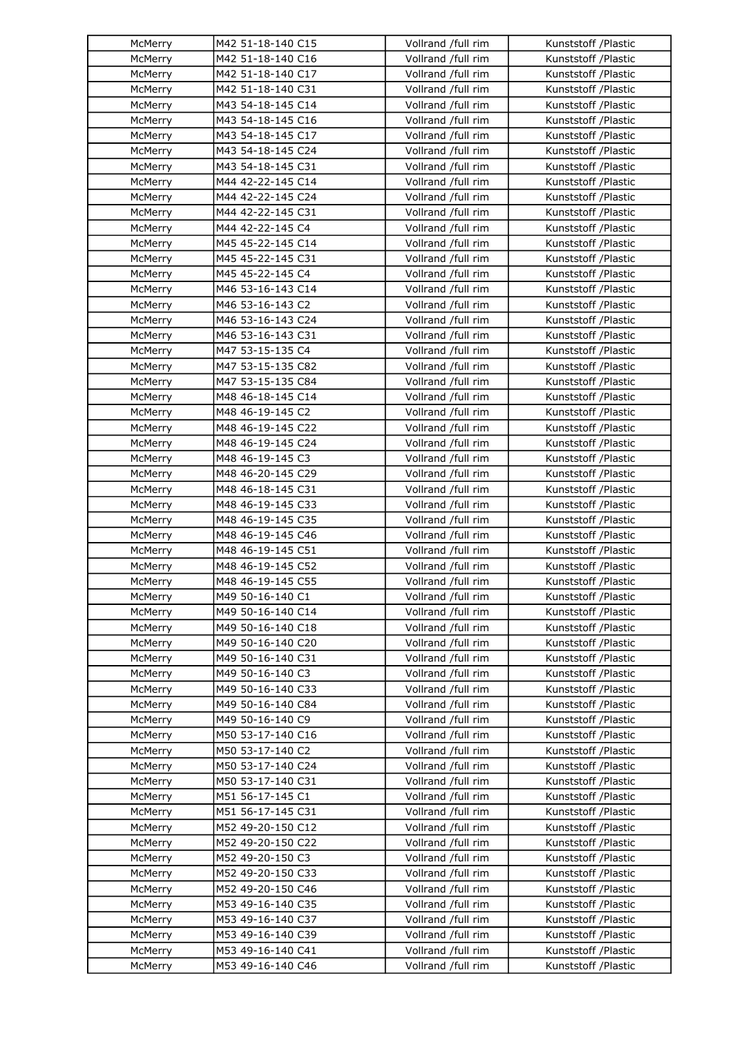| McMerry            | M42 51-18-140 C15 | Vollrand /full rim                       | Kunststoff /Plastic                        |
|--------------------|-------------------|------------------------------------------|--------------------------------------------|
| McMerry            | M42 51-18-140 C16 | Vollrand /full rim                       | Kunststoff /Plastic                        |
| McMerry            | M42 51-18-140 C17 | Vollrand /full rim                       | Kunststoff /Plastic                        |
| McMerry            | M42 51-18-140 C31 | Vollrand /full rim                       | Kunststoff /Plastic                        |
| McMerry            | M43 54-18-145 C14 | Vollrand /full rim                       | Kunststoff /Plastic                        |
| McMerry            | M43 54-18-145 C16 | Vollrand /full rim                       | Kunststoff /Plastic                        |
| McMerry            | M43 54-18-145 C17 | Vollrand /full rim                       | Kunststoff /Plastic                        |
| McMerry            | M43 54-18-145 C24 | Vollrand /full rim                       | Kunststoff /Plastic                        |
| McMerry            | M43 54-18-145 C31 | Vollrand /full rim                       | Kunststoff /Plastic                        |
| McMerry            | M44 42-22-145 C14 | Vollrand /full rim                       | Kunststoff /Plastic                        |
| McMerry            | M44 42-22-145 C24 | Vollrand /full rim                       | Kunststoff /Plastic                        |
| McMerry            | M44 42-22-145 C31 | Vollrand /full rim                       | Kunststoff /Plastic                        |
| McMerry            | M44 42-22-145 C4  | Vollrand /full rim                       | Kunststoff /Plastic                        |
| McMerry            | M45 45-22-145 C14 | Vollrand /full rim                       | Kunststoff /Plastic                        |
| McMerry            | M45 45-22-145 C31 | Vollrand /full rim                       | Kunststoff /Plastic                        |
| McMerry            | M45 45-22-145 C4  | Vollrand /full rim                       | Kunststoff /Plastic                        |
| McMerry            | M46 53-16-143 C14 | Vollrand /full rim                       | Kunststoff /Plastic                        |
| McMerry            | M46 53-16-143 C2  | Vollrand /full rim                       | Kunststoff /Plastic                        |
| McMerry            | M46 53-16-143 C24 | Vollrand /full rim                       | Kunststoff /Plastic                        |
| McMerry            | M46 53-16-143 C31 | Vollrand /full rim                       | Kunststoff /Plastic                        |
| McMerry            | M47 53-15-135 C4  | Vollrand /full rim                       | Kunststoff /Plastic                        |
| McMerry            | M47 53-15-135 C82 | Vollrand /full rim                       | Kunststoff /Plastic                        |
| McMerry            | M47 53-15-135 C84 | Vollrand /full rim                       | Kunststoff /Plastic                        |
| McMerry            | M48 46-18-145 C14 | Vollrand /full rim                       | Kunststoff /Plastic                        |
| McMerry            | M48 46-19-145 C2  | Vollrand /full rim                       | Kunststoff /Plastic                        |
| McMerry            | M48 46-19-145 C22 | Vollrand /full rim                       | Kunststoff /Plastic                        |
| McMerry            | M48 46-19-145 C24 | Vollrand /full rim                       | Kunststoff /Plastic                        |
| McMerry            | M48 46-19-145 C3  | Vollrand /full rim                       | Kunststoff /Plastic                        |
| McMerry            | M48 46-20-145 C29 | Vollrand /full rim                       | Kunststoff /Plastic                        |
| McMerry            | M48 46-18-145 C31 | Vollrand /full rim                       | Kunststoff /Plastic                        |
| McMerry            | M48 46-19-145 C33 | Vollrand /full rim                       | Kunststoff /Plastic                        |
| McMerry            | M48 46-19-145 C35 | Vollrand /full rim                       | Kunststoff /Plastic                        |
| McMerry            | M48 46-19-145 C46 | Vollrand /full rim                       | Kunststoff /Plastic                        |
| McMerry            | M48 46-19-145 C51 | Vollrand /full rim                       | Kunststoff /Plastic                        |
| McMerry            | M48 46-19-145 C52 | Vollrand /full rim                       | Kunststoff /Plastic                        |
| McMerry            | M48 46-19-145 C55 | Vollrand /full rim                       | Kunststoff /Plastic                        |
|                    | M49 50-16-140 C1  | Vollrand /full rim                       | Kunststoff /Plastic                        |
| McMerry<br>McMerry | M49 50-16-140 C14 | Vollrand /full rim                       | Kunststoff /Plastic                        |
| McMerry            | M49 50-16-140 C18 | Vollrand /full rim                       | Kunststoff /Plastic                        |
| McMerry            | M49 50-16-140 C20 | Vollrand /full rim                       | Kunststoff /Plastic                        |
| McMerry            | M49 50-16-140 C31 | Vollrand /full rim                       | Kunststoff /Plastic                        |
| McMerry            | M49 50-16-140 C3  | Vollrand /full rim                       | Kunststoff /Plastic                        |
| McMerry            | M49 50-16-140 C33 | Vollrand /full rim                       | Kunststoff /Plastic                        |
| McMerry            | M49 50-16-140 C84 | Vollrand /full rim                       | Kunststoff /Plastic                        |
|                    | M49 50-16-140 C9  |                                          |                                            |
| McMerry<br>McMerry | M50 53-17-140 C16 | Vollrand /full rim<br>Vollrand /full rim | Kunststoff /Plastic<br>Kunststoff /Plastic |
|                    |                   |                                          |                                            |
| McMerry            | M50 53-17-140 C2  | Vollrand /full rim                       | Kunststoff /Plastic                        |
| McMerry            | M50 53-17-140 C24 | Vollrand /full rim                       | Kunststoff /Plastic                        |
| McMerry            | M50 53-17-140 C31 | Vollrand /full rim                       | Kunststoff /Plastic                        |
| McMerry            | M51 56-17-145 C1  | Vollrand /full rim                       | Kunststoff /Plastic                        |
| McMerry            | M51 56-17-145 C31 | Vollrand /full rim                       | Kunststoff /Plastic                        |
| McMerry            | M52 49-20-150 C12 | Vollrand /full rim                       | Kunststoff /Plastic                        |
| McMerry            | M52 49-20-150 C22 | Vollrand /full rim                       | Kunststoff /Plastic                        |
| McMerry            | M52 49-20-150 C3  | Vollrand /full rim                       | Kunststoff /Plastic                        |
| McMerry            | M52 49-20-150 C33 | Vollrand /full rim                       | Kunststoff /Plastic                        |
| McMerry            | M52 49-20-150 C46 | Vollrand /full rim                       | Kunststoff /Plastic                        |
| McMerry            | M53 49-16-140 C35 | Vollrand /full rim                       | Kunststoff /Plastic                        |
| McMerry            | M53 49-16-140 C37 | Vollrand /full rim                       | Kunststoff /Plastic                        |
| McMerry            | M53 49-16-140 C39 | Vollrand /full rim                       | Kunststoff /Plastic                        |
| McMerry            | M53 49-16-140 C41 | Vollrand /full rim                       | Kunststoff /Plastic                        |
| McMerry            | M53 49-16-140 C46 | Vollrand /full rim                       | Kunststoff /Plastic                        |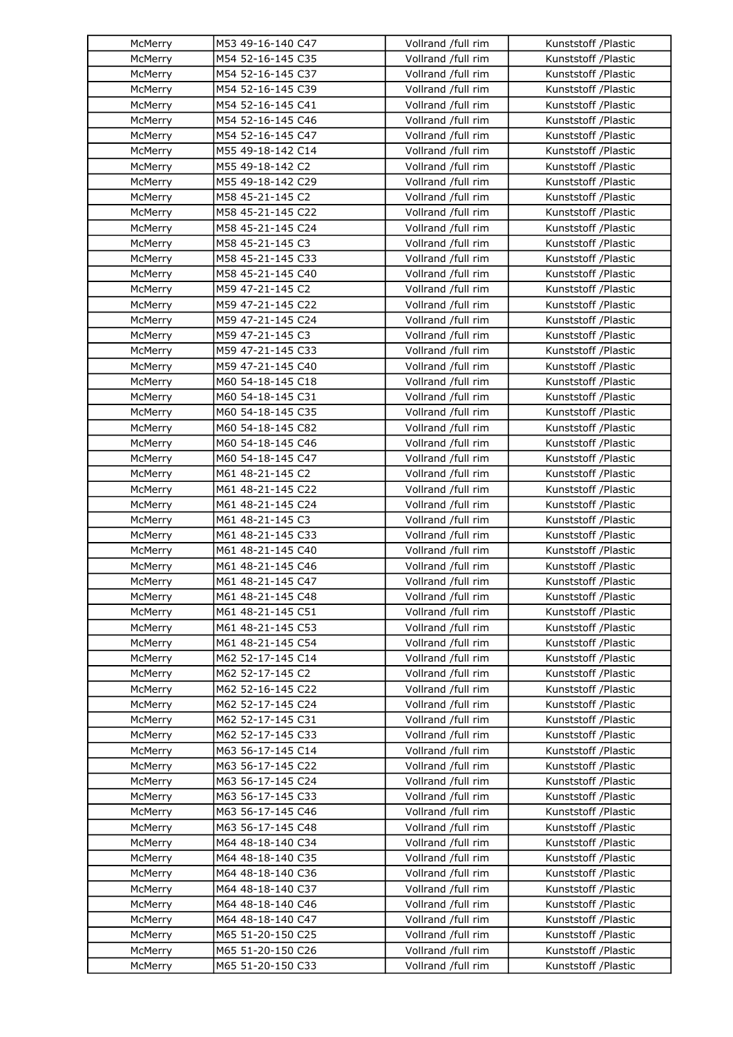| McMerry | M53 49-16-140 C47 | Vollrand /full rim | Kunststoff /Plastic                        |
|---------|-------------------|--------------------|--------------------------------------------|
| McMerry | M54 52-16-145 C35 | Vollrand /full rim | Kunststoff /Plastic                        |
| McMerry | M54 52-16-145 C37 | Vollrand /full rim | Kunststoff /Plastic                        |
| McMerry | M54 52-16-145 C39 | Vollrand /full rim | Kunststoff /Plastic                        |
| McMerry | M54 52-16-145 C41 | Vollrand /full rim | Kunststoff /Plastic                        |
| McMerry | M54 52-16-145 C46 | Vollrand /full rim | Kunststoff /Plastic                        |
| McMerry | M54 52-16-145 C47 | Vollrand /full rim | Kunststoff /Plastic                        |
| McMerry | M55 49-18-142 C14 | Vollrand /full rim | Kunststoff /Plastic                        |
| McMerry | M55 49-18-142 C2  | Vollrand /full rim | Kunststoff /Plastic                        |
| McMerry | M55 49-18-142 C29 | Vollrand /full rim | Kunststoff /Plastic                        |
| McMerry | M58 45-21-145 C2  | Vollrand /full rim | Kunststoff /Plastic                        |
| McMerry | M58 45-21-145 C22 | Vollrand /full rim | Kunststoff /Plastic                        |
| McMerry | M58 45-21-145 C24 | Vollrand /full rim | Kunststoff /Plastic                        |
| McMerry | M58 45-21-145 C3  | Vollrand /full rim | Kunststoff /Plastic                        |
| McMerry | M58 45-21-145 C33 | Vollrand /full rim | Kunststoff /Plastic                        |
| McMerry | M58 45-21-145 C40 | Vollrand /full rim | Kunststoff /Plastic                        |
| McMerry | M59 47-21-145 C2  | Vollrand /full rim | Kunststoff /Plastic                        |
| McMerry | M59 47-21-145 C22 | Vollrand /full rim | Kunststoff /Plastic                        |
| McMerry | M59 47-21-145 C24 | Vollrand /full rim | Kunststoff /Plastic                        |
| McMerry | M59 47-21-145 C3  | Vollrand /full rim | Kunststoff /Plastic                        |
| McMerry | M59 47-21-145 C33 | Vollrand /full rim |                                            |
| McMerry | M59 47-21-145 C40 | Vollrand /full rim | Kunststoff /Plastic<br>Kunststoff /Plastic |
| McMerry | M60 54-18-145 C18 | Vollrand /full rim | Kunststoff /Plastic                        |
|         | M60 54-18-145 C31 |                    |                                            |
| McMerry |                   | Vollrand /full rim | Kunststoff /Plastic                        |
| McMerry | M60 54-18-145 C35 | Vollrand /full rim | Kunststoff /Plastic                        |
| McMerry | M60 54-18-145 C82 | Vollrand /full rim | Kunststoff /Plastic                        |
| McMerry | M60 54-18-145 C46 | Vollrand /full rim | Kunststoff /Plastic                        |
| McMerry | M60 54-18-145 C47 | Vollrand /full rim | Kunststoff /Plastic                        |
| McMerry | M61 48-21-145 C2  | Vollrand /full rim | Kunststoff /Plastic                        |
| McMerry | M61 48-21-145 C22 | Vollrand /full rim | Kunststoff /Plastic                        |
| McMerry | M61 48-21-145 C24 | Vollrand /full rim | Kunststoff /Plastic                        |
| McMerry | M61 48-21-145 C3  | Vollrand /full rim | Kunststoff /Plastic                        |
| McMerry | M61 48-21-145 C33 | Vollrand /full rim | Kunststoff /Plastic                        |
| McMerry | M61 48-21-145 C40 | Vollrand /full rim | Kunststoff /Plastic                        |
| McMerry | M61 48-21-145 C46 | Vollrand /full rim | Kunststoff /Plastic                        |
| McMerry | M61 48-21-145 C47 | Vollrand /full rim | Kunststoff /Plastic                        |
| McMerry | M61 48-21-145 C48 | Vollrand /full rim | Kunststoff /Plastic                        |
| McMerry | M61 48-21-145 C51 | Vollrand /full rim | Kunststoff /Plastic                        |
| McMerry | M61 48-21-145 C53 | Vollrand /full rim | Kunststoff /Plastic                        |
| McMerry | M61 48-21-145 C54 | Vollrand /full rim | Kunststoff /Plastic                        |
| McMerry | M62 52-17-145 C14 | Vollrand /full rim | Kunststoff /Plastic                        |
| McMerry | M62 52-17-145 C2  | Vollrand /full rim | Kunststoff /Plastic                        |
| McMerry | M62 52-16-145 C22 | Vollrand /full rim | Kunststoff /Plastic                        |
| McMerry | M62 52-17-145 C24 | Vollrand /full rim | Kunststoff /Plastic                        |
| McMerry | M62 52-17-145 C31 | Vollrand /full rim | Kunststoff /Plastic                        |
| McMerry | M62 52-17-145 C33 | Vollrand /full rim | Kunststoff /Plastic                        |
| McMerry | M63 56-17-145 C14 | Vollrand /full rim | Kunststoff /Plastic                        |
| McMerry | M63 56-17-145 C22 | Vollrand /full rim | Kunststoff /Plastic                        |
| McMerry | M63 56-17-145 C24 | Vollrand /full rim | Kunststoff /Plastic                        |
| McMerry | M63 56-17-145 C33 | Vollrand /full rim | Kunststoff /Plastic                        |
| McMerry | M63 56-17-145 C46 | Vollrand /full rim | Kunststoff /Plastic                        |
| McMerry | M63 56-17-145 C48 | Vollrand /full rim | Kunststoff /Plastic                        |
| McMerry | M64 48-18-140 C34 | Vollrand /full rim | Kunststoff /Plastic                        |
| McMerry | M64 48-18-140 C35 | Vollrand /full rim | Kunststoff /Plastic                        |
| McMerry | M64 48-18-140 C36 | Vollrand /full rim | Kunststoff /Plastic                        |
| McMerry | M64 48-18-140 C37 | Vollrand /full rim | Kunststoff /Plastic                        |
| McMerry | M64 48-18-140 C46 | Vollrand /full rim | Kunststoff /Plastic                        |
| McMerry | M64 48-18-140 C47 | Vollrand /full rim | Kunststoff /Plastic                        |
| McMerry | M65 51-20-150 C25 | Vollrand /full rim | Kunststoff / Plastic                       |
| McMerry | M65 51-20-150 C26 | Vollrand /full rim | Kunststoff / Plastic                       |
| McMerry | M65 51-20-150 C33 | Vollrand /full rim | Kunststoff / Plastic                       |
|         |                   |                    |                                            |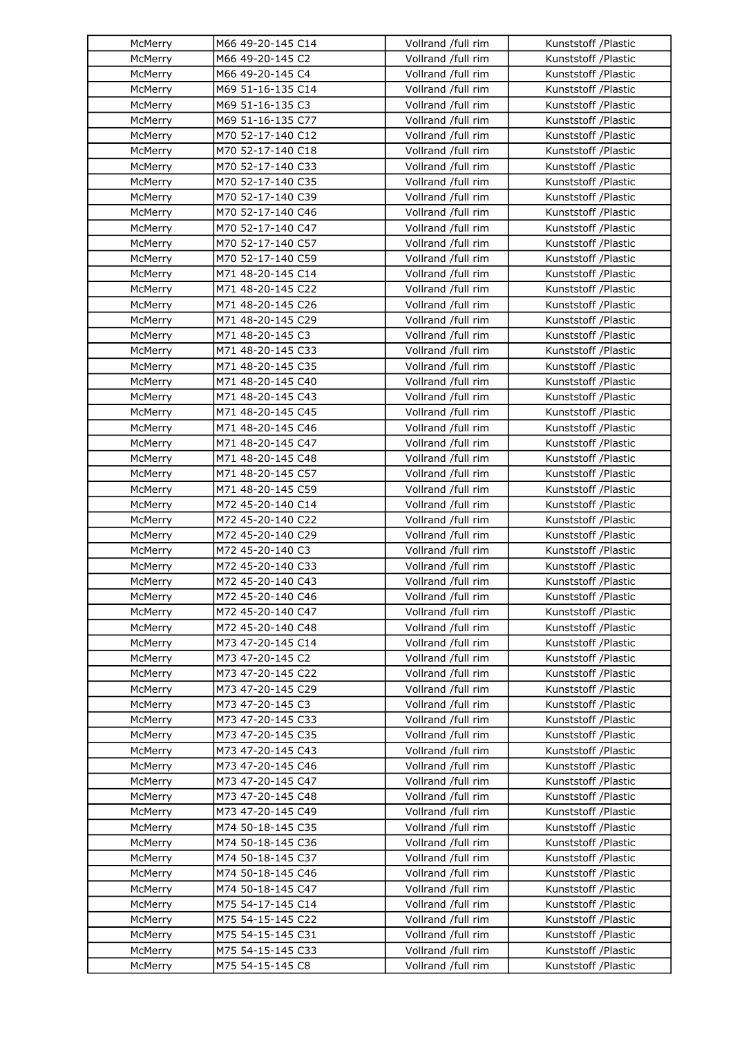| McMerry | M66 49-20-145 C14                      | Vollrand /full rim | Kunststoff /Plastic                        |
|---------|----------------------------------------|--------------------|--------------------------------------------|
| McMerry | M66 49-20-145 C2                       | Vollrand /full rim | Kunststoff /Plastic                        |
| McMerry | M66 49-20-145 C4                       | Vollrand /full rim | Kunststoff /Plastic                        |
| McMerry | M69 51-16-135 C14                      | Vollrand /full rim | Kunststoff /Plastic                        |
| McMerry | M69 51-16-135 C3                       | Vollrand /full rim | Kunststoff /Plastic                        |
| McMerry | M69 51-16-135 C77                      | Vollrand /full rim | Kunststoff /Plastic                        |
| McMerry | M70 52-17-140 C12                      | Vollrand /full rim | Kunststoff /Plastic                        |
| McMerry | M70 52-17-140 C18                      | Vollrand /full rim | Kunststoff /Plastic                        |
| McMerry | M70 52-17-140 C33                      | Vollrand /full rim | Kunststoff /Plastic                        |
| McMerry | M70 52-17-140 C35                      | Vollrand /full rim | Kunststoff /Plastic                        |
| McMerry | M70 52-17-140 C39                      | Vollrand /full rim | Kunststoff /Plastic                        |
| McMerry | M70 52-17-140 C46                      | Vollrand /full rim | Kunststoff /Plastic                        |
| McMerry | M70 52-17-140 C47                      | Vollrand /full rim | Kunststoff /Plastic                        |
| McMerry | M70 52-17-140 C57                      | Vollrand /full rim | Kunststoff /Plastic                        |
| McMerry | M70 52-17-140 C59                      | Vollrand /full rim | Kunststoff /Plastic                        |
| McMerry | M71 48-20-145 C14                      | Vollrand /full rim | Kunststoff /Plastic                        |
| McMerry | M71 48-20-145 C22                      | Vollrand /full rim | Kunststoff /Plastic                        |
| McMerry | M71 48-20-145 C26                      | Vollrand /full rim | Kunststoff /Plastic                        |
| McMerry | M71 48-20-145 C29                      | Vollrand /full rim | Kunststoff /Plastic                        |
| McMerry | M71 48-20-145 C3                       | Vollrand /full rim | Kunststoff /Plastic                        |
| McMerry | M71 48-20-145 C33                      | Vollrand /full rim | Kunststoff /Plastic                        |
| McMerry | M71 48-20-145 C35                      | Vollrand /full rim | Kunststoff /Plastic                        |
| McMerry | M71 48-20-145 C40                      | Vollrand /full rim | Kunststoff /Plastic                        |
| McMerry | M71 48-20-145 C43                      | Vollrand /full rim | Kunststoff /Plastic                        |
| McMerry | M71 48-20-145 C45                      | Vollrand /full rim | Kunststoff /Plastic                        |
| McMerry | M71 48-20-145 C46                      | Vollrand /full rim | Kunststoff /Plastic                        |
| McMerry | M71 48-20-145 C47                      | Vollrand /full rim | Kunststoff /Plastic                        |
| McMerry | M71 48-20-145 C48                      | Vollrand /full rim | Kunststoff /Plastic                        |
| McMerry | M71 48-20-145 C57                      | Vollrand /full rim | Kunststoff /Plastic                        |
| McMerry | M71 48-20-145 C59                      | Vollrand /full rim | Kunststoff /Plastic                        |
| McMerry | M72 45-20-140 C14                      | Vollrand /full rim | Kunststoff /Plastic                        |
| McMerry | M72 45-20-140 C22                      | Vollrand /full rim | Kunststoff /Plastic                        |
| McMerry | M72 45-20-140 C29                      | Vollrand /full rim | Kunststoff /Plastic                        |
| McMerry | M72 45-20-140 C3                       | Vollrand /full rim | Kunststoff /Plastic                        |
| McMerry | M72 45-20-140 C33                      | Vollrand /full rim | Kunststoff /Plastic                        |
| McMerry | M72 45-20-140 C43                      | Vollrand /full rim | Kunststoff /Plastic                        |
| McMerry | M72 45-20-140 C46                      | Vollrand /full rim | Kunststoff /Plastic                        |
| McMerry | M72 45-20-140 C47                      | Vollrand /full rim | Kunststoff /Plastic                        |
| McMerry | M72 45-20-140 C48                      | Vollrand /full rim | Kunststoff /Plastic                        |
| McMerry | M73 47-20-145 C14                      | Vollrand /full rim | Kunststoff /Plastic                        |
| McMerry | M73 47-20-145 C2                       | Vollrand /full rim | Kunststoff /Plastic                        |
| McMerry |                                        | Vollrand /full rim | Kunststoff /Plastic                        |
| McMerry | M73 47-20-145 C22<br>M73 47-20-145 C29 | Vollrand /full rim | Kunststoff /Plastic                        |
| McMerry | M73 47-20-145 C3                       | Vollrand /full rim | Kunststoff /Plastic                        |
| McMerry | M73 47-20-145 C33                      | Vollrand /full rim | Kunststoff /Plastic                        |
| McMerry | M73 47-20-145 C35                      | Vollrand /full rim | Kunststoff /Plastic                        |
| McMerry | M73 47-20-145 C43                      | Vollrand /full rim | Kunststoff /Plastic                        |
|         |                                        |                    |                                            |
| McMerry | M73 47-20-145 C46                      | Vollrand /full rim | Kunststoff /Plastic                        |
| McMerry | M73 47-20-145 C47                      | Vollrand /full rim | Kunststoff /Plastic                        |
| McMerry | M73 47-20-145 C48                      | Vollrand /full rim | Kunststoff /Plastic<br>Kunststoff /Plastic |
| McMerry | M73 47-20-145 C49                      | Vollrand /full rim |                                            |
| McMerry | M74 50-18-145 C35                      | Vollrand /full rim | Kunststoff /Plastic                        |
| McMerry | M74 50-18-145 C36                      | Vollrand /full rim | Kunststoff /Plastic                        |
| McMerry | M74 50-18-145 C37                      | Vollrand /full rim | Kunststoff /Plastic                        |
| McMerry | M74 50-18-145 C46                      | Vollrand /full rim | Kunststoff /Plastic                        |
| McMerry | M74 50-18-145 C47                      | Vollrand /full rim | Kunststoff /Plastic                        |
| McMerry | M75 54-17-145 C14                      | Vollrand /full rim | Kunststoff /Plastic                        |
| McMerry | M75 54-15-145 C22                      | Vollrand /full rim | Kunststoff /Plastic                        |
| McMerry | M75 54-15-145 C31                      | Vollrand /full rim | Kunststoff /Plastic                        |
| McMerry | M75 54-15-145 C33                      | Vollrand /full rim | Kunststoff /Plastic                        |
| McMerry | M75 54-15-145 C8                       | Vollrand /full rim | Kunststoff /Plastic                        |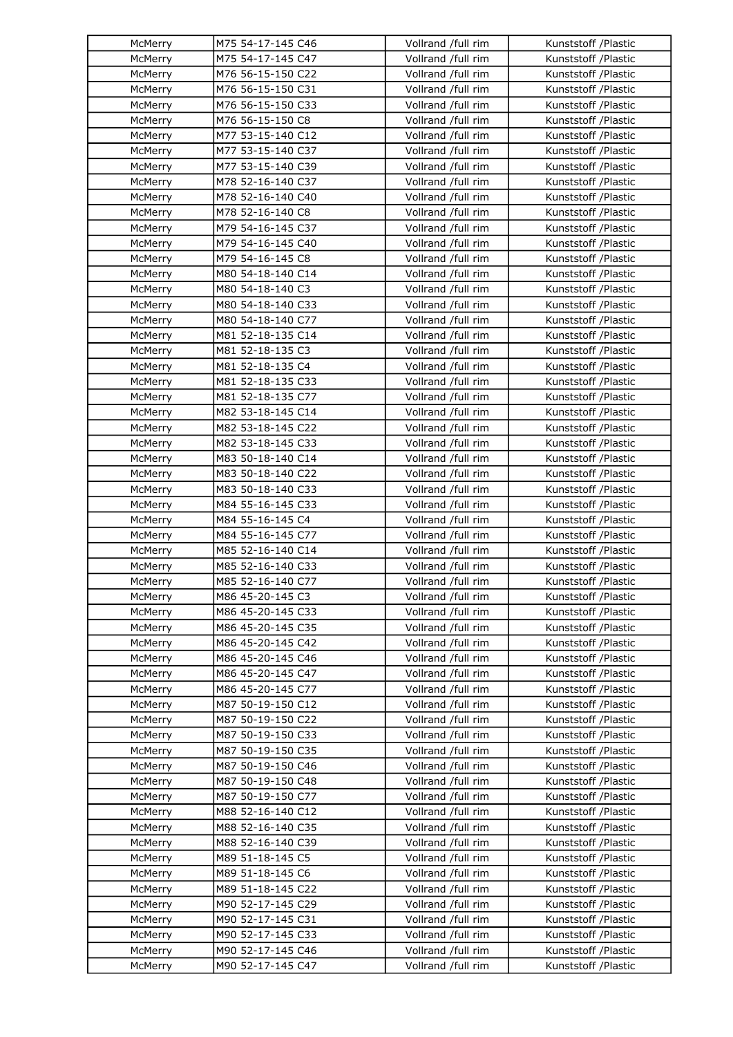| McMerry            | M75 54-17-145 C46                      | Vollrand /full rim                       | Kunststoff /Plastic                        |
|--------------------|----------------------------------------|------------------------------------------|--------------------------------------------|
| McMerry            | M75 54-17-145 C47                      | Vollrand /full rim                       | Kunststoff /Plastic                        |
| McMerry            | M76 56-15-150 C22                      | Vollrand /full rim                       | Kunststoff /Plastic                        |
| McMerry            | M76 56-15-150 C31                      | Vollrand /full rim                       | Kunststoff /Plastic                        |
| McMerry            | M76 56-15-150 C33                      | Vollrand /full rim                       | Kunststoff /Plastic                        |
| McMerry            | M76 56-15-150 C8                       | Vollrand /full rim                       | Kunststoff /Plastic                        |
| McMerry            | M77 53-15-140 C12                      | Vollrand /full rim                       | Kunststoff /Plastic                        |
| McMerry            | M77 53-15-140 C37                      | Vollrand /full rim                       | Kunststoff /Plastic                        |
| McMerry            | M77 53-15-140 C39                      | Vollrand /full rim                       | Kunststoff /Plastic                        |
| McMerry            | M78 52-16-140 C37                      | Vollrand /full rim                       | Kunststoff /Plastic                        |
| McMerry            | M78 52-16-140 C40                      | Vollrand /full rim                       | Kunststoff /Plastic                        |
| McMerry            | M78 52-16-140 C8                       | Vollrand /full rim                       | Kunststoff /Plastic                        |
| McMerry            | M79 54-16-145 C37                      | Vollrand /full rim                       | Kunststoff /Plastic                        |
| McMerry            | M79 54-16-145 C40                      | Vollrand /full rim                       | Kunststoff /Plastic                        |
| McMerry            | M79 54-16-145 C8                       | Vollrand /full rim                       | Kunststoff /Plastic                        |
| McMerry            | M80 54-18-140 C14                      | Vollrand /full rim                       | Kunststoff /Plastic                        |
| McMerry            | M80 54-18-140 C3                       | Vollrand /full rim                       | Kunststoff /Plastic                        |
| McMerry            | M80 54-18-140 C33                      | Vollrand /full rim                       | Kunststoff /Plastic                        |
| McMerry            | M80 54-18-140 C77                      | Vollrand /full rim                       | Kunststoff /Plastic                        |
| McMerry            | M81 52-18-135 C14                      | Vollrand /full rim                       | Kunststoff /Plastic                        |
| McMerry            | M81 52-18-135 C3                       | Vollrand /full rim                       | Kunststoff /Plastic                        |
| McMerry            | M81 52-18-135 C4                       | Vollrand /full rim                       | Kunststoff /Plastic                        |
| McMerry            | M81 52-18-135 C33                      | Vollrand /full rim                       | Kunststoff /Plastic                        |
| McMerry            | M81 52-18-135 C77                      | Vollrand /full rim                       | Kunststoff /Plastic                        |
| McMerry            | M82 53-18-145 C14                      | Vollrand /full rim                       | Kunststoff /Plastic                        |
| McMerry            | M82 53-18-145 C22                      | Vollrand /full rim                       | Kunststoff /Plastic                        |
| McMerry            | M82 53-18-145 C33                      | Vollrand /full rim                       | Kunststoff /Plastic                        |
| McMerry            | M83 50-18-140 C14                      | Vollrand /full rim                       | Kunststoff /Plastic                        |
| McMerry            | M83 50-18-140 C22                      | Vollrand /full rim                       | Kunststoff /Plastic                        |
| McMerry            | M83 50-18-140 C33                      | Vollrand /full rim                       | Kunststoff /Plastic                        |
| McMerry            | M84 55-16-145 C33                      | Vollrand /full rim                       | Kunststoff /Plastic                        |
| McMerry            | M84 55-16-145 C4                       | Vollrand /full rim                       | Kunststoff /Plastic                        |
| McMerry            | M84 55-16-145 C77                      | Vollrand /full rim                       | Kunststoff /Plastic                        |
| McMerry            | M85 52-16-140 C14                      | Vollrand /full rim                       | Kunststoff /Plastic                        |
| McMerry            | M85 52-16-140 C33                      | Vollrand /full rim                       | Kunststoff /Plastic                        |
| McMerry            | M85 52-16-140 C77                      | Vollrand /full rim                       | Kunststoff /Plastic                        |
|                    | M86 45-20-145 C3                       | Vollrand /full rim                       | Kunststoff /Plastic                        |
| McMerry<br>McMerry | M86 45-20-145 C33                      | Vollrand /full rim                       | Kunststoff /Plastic                        |
| McMerry            |                                        | Vollrand /full rim                       | Kunststoff /Plastic                        |
|                    | M86 45-20-145 C35<br>M86 45-20-145 C42 |                                          | Kunststoff /Plastic                        |
| McMerry            |                                        | Vollrand /full rim<br>Vollrand /full rim | Kunststoff /Plastic                        |
| McMerry            | M86 45-20-145 C46                      | Vollrand /full rim                       |                                            |
| McMerry<br>McMerry | M86 45-20-145 C47                      | Vollrand /full rim                       | Kunststoff /Plastic                        |
|                    | M86 45-20-145 C77                      |                                          | Kunststoff /Plastic                        |
| McMerry            | M87 50-19-150 C12<br>M87 50-19-150 C22 | Vollrand /full rim                       | Kunststoff /Plastic                        |
| McMerry            |                                        | Vollrand /full rim<br>Vollrand /full rim | Kunststoff /Plastic<br>Kunststoff /Plastic |
| McMerry<br>McMerry | M87 50-19-150 C33<br>M87 50-19-150 C35 | Vollrand /full rim                       | Kunststoff /Plastic                        |
|                    |                                        |                                          |                                            |
| McMerry            | M87 50-19-150 C46<br>M87 50-19-150 C48 | Vollrand /full rim<br>Vollrand /full rim | Kunststoff /Plastic<br>Kunststoff /Plastic |
| McMerry            |                                        |                                          |                                            |
| McMerry            | M87 50-19-150 C77                      | Vollrand /full rim                       | Kunststoff /Plastic                        |
| McMerry            | M88 52-16-140 C12                      | Vollrand /full rim                       | Kunststoff /Plastic                        |
| McMerry            | M88 52-16-140 C35                      | Vollrand /full rim                       | Kunststoff /Plastic                        |
| McMerry            | M88 52-16-140 C39                      | Vollrand /full rim                       | Kunststoff /Plastic                        |
| McMerry            | M89 51-18-145 C5                       | Vollrand /full rim                       | Kunststoff /Plastic                        |
| McMerry            | M89 51-18-145 C6                       | Vollrand /full rim                       | Kunststoff /Plastic                        |
| McMerry            | M89 51-18-145 C22                      | Vollrand /full rim                       | Kunststoff /Plastic                        |
| McMerry            | M90 52-17-145 C29                      | Vollrand /full rim                       | Kunststoff /Plastic                        |
| McMerry            | M90 52-17-145 C31                      | Vollrand /full rim                       | Kunststoff /Plastic                        |
| McMerry            | M90 52-17-145 C33                      | Vollrand /full rim                       | Kunststoff /Plastic                        |
| McMerry            | M90 52-17-145 C46                      | Vollrand /full rim                       | Kunststoff /Plastic                        |
| McMerry            | M90 52-17-145 C47                      | Vollrand /full rim                       | Kunststoff /Plastic                        |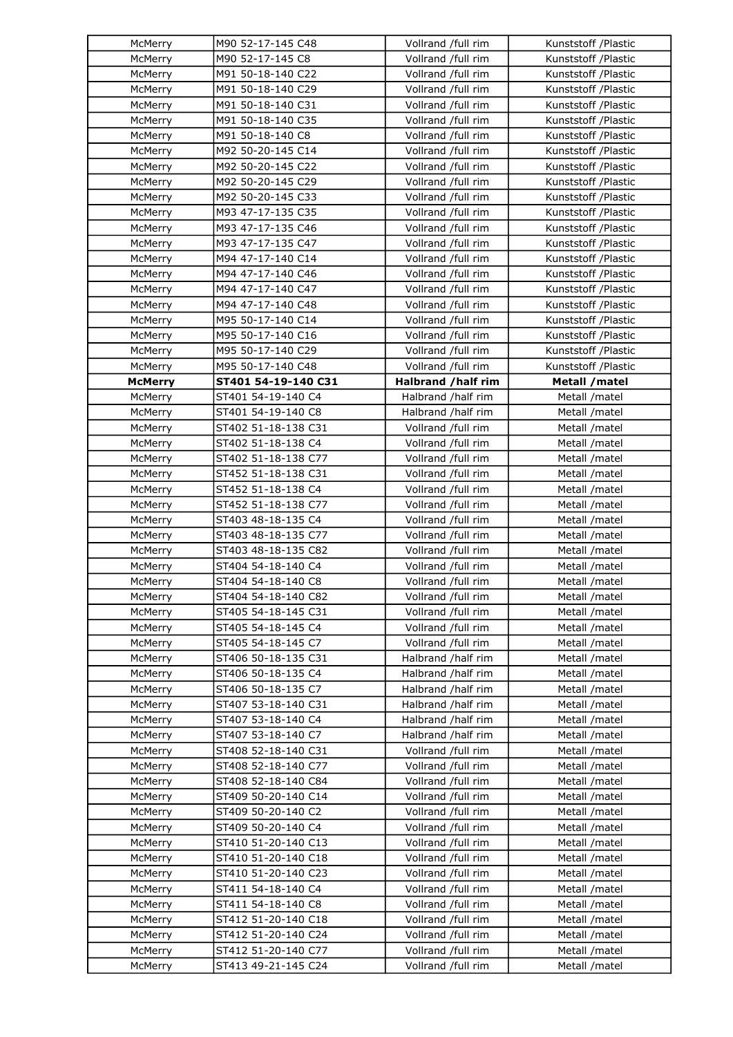| McMerry            | M90 52-17-145 C48                        | Vollrand /full rim                       | Kunststoff /Plastic            |
|--------------------|------------------------------------------|------------------------------------------|--------------------------------|
| McMerry            | M90 52-17-145 C8                         | Vollrand /full rim                       | Kunststoff /Plastic            |
| McMerry            | M91 50-18-140 C22                        | Vollrand /full rim                       | Kunststoff /Plastic            |
| McMerry            | M91 50-18-140 C29                        | Vollrand /full rim                       | Kunststoff /Plastic            |
| McMerry            | M91 50-18-140 C31                        | Vollrand /full rim                       | Kunststoff /Plastic            |
| McMerry            | M91 50-18-140 C35                        | Vollrand /full rim                       | Kunststoff /Plastic            |
| McMerry            | M91 50-18-140 C8                         | Vollrand /full rim                       | Kunststoff /Plastic            |
| McMerry            | M92 50-20-145 C14                        | Vollrand /full rim                       | Kunststoff /Plastic            |
| McMerry            | M92 50-20-145 C22                        | Vollrand /full rim                       | Kunststoff /Plastic            |
| McMerry            | M92 50-20-145 C29                        | Vollrand /full rim                       | Kunststoff /Plastic            |
| McMerry            | M92 50-20-145 C33                        | Vollrand /full rim                       | Kunststoff /Plastic            |
| McMerry            | M93 47-17-135 C35                        | Vollrand /full rim                       | Kunststoff /Plastic            |
| McMerry            | M93 47-17-135 C46                        | Vollrand /full rim                       | Kunststoff /Plastic            |
| McMerry            | M93 47-17-135 C47                        | Vollrand /full rim                       | Kunststoff /Plastic            |
| McMerry            | M94 47-17-140 C14                        | Vollrand /full rim                       | Kunststoff /Plastic            |
| McMerry            | M94 47-17-140 C46                        | Vollrand /full rim                       | Kunststoff /Plastic            |
| McMerry            | M94 47-17-140 C47                        | Vollrand /full rim                       | Kunststoff /Plastic            |
| McMerry            | M94 47-17-140 C48                        | Vollrand /full rim                       | Kunststoff /Plastic            |
| McMerry            | M95 50-17-140 C14                        | Vollrand /full rim                       | Kunststoff /Plastic            |
| McMerry            | M95 50-17-140 C16                        | Vollrand /full rim                       | Kunststoff /Plastic            |
| McMerry            | M95 50-17-140 C29                        | Vollrand /full rim                       | Kunststoff /Plastic            |
| McMerry            | M95 50-17-140 C48                        | Vollrand /full rim                       | Kunststoff /Plastic            |
| <b>McMerry</b>     | ST401 54-19-140 C31                      | Halbrand /half rim                       | Metall / matel                 |
| McMerry            | ST401 54-19-140 C4                       | Halbrand /half rim                       | Metall /matel                  |
| McMerry            | ST401 54-19-140 C8                       | Halbrand /half rim                       | Metall /matel                  |
| McMerry            | ST402 51-18-138 C31                      | Vollrand /full rim                       | Metall /matel                  |
| McMerry            | ST402 51-18-138 C4                       | Vollrand /full rim                       | Metall /matel                  |
| McMerry            | ST402 51-18-138 C77                      | Vollrand /full rim                       | Metall /matel                  |
| McMerry            | ST452 51-18-138 C31                      | Vollrand /full rim                       | Metall /matel                  |
| McMerry            | ST452 51-18-138 C4                       | Vollrand /full rim                       | Metall /matel                  |
| McMerry            | ST452 51-18-138 C77                      | Vollrand /full rim                       | Metall /matel                  |
| McMerry            | ST403 48-18-135 C4                       | Vollrand /full rim                       | Metall /matel                  |
| McMerry            | ST403 48-18-135 C77                      | Vollrand /full rim                       | Metall /matel                  |
| McMerry            | ST403 48-18-135 C82                      | Vollrand /full rim                       | Metall /matel                  |
| McMerry            | ST404 54-18-140 C4                       | Vollrand /full rim                       | Metall /matel                  |
| McMerry            | ST404 54-18-140 C8                       | Vollrand /full rim                       | Metall /matel                  |
| McMerry            | ST404 54-18-140 C82                      | Vollrand /full rim                       | Metall /matel                  |
| McMerry            | ST405 54-18-145 C31                      | Vollrand /full rim                       | Metall /matel                  |
| McMerry            | ST405 54-18-145 C4                       | Vollrand /full rim                       | Metall /matel                  |
|                    | ST405 54-18-145 C7                       | Vollrand /full rim                       |                                |
| McMerry            | ST406 50-18-135 C31                      |                                          | Metall /matel                  |
| McMerry<br>McMerry | ST406 50-18-135 C4                       | Halbrand /half rim<br>Halbrand /half rim | Metall /matel<br>Metall /matel |
| McMerry            | ST406 50-18-135 C7                       | Halbrand /half rim                       | Metall /matel                  |
|                    | ST407 53-18-140 C31                      |                                          |                                |
| McMerry            |                                          | Halbrand /half rim<br>Halbrand /half rim | Metall /matel<br>Metall /matel |
| McMerry<br>McMerry | ST407 53-18-140 C4<br>ST407 53-18-140 C7 | Halbrand /half rim                       | Metall /matel                  |
|                    |                                          |                                          |                                |
| McMerry            | ST408 52-18-140 C31                      | Vollrand /full rim                       | Metall /matel                  |
| McMerry            | ST408 52-18-140 C77                      | Vollrand /full rim                       | Metall /matel                  |
| McMerry            | ST408 52-18-140 C84                      | Vollrand /full rim                       | Metall /matel                  |
| McMerry            | ST409 50-20-140 C14                      | Vollrand /full rim                       | Metall /matel                  |
| McMerry            | ST409 50-20-140 C2                       | Vollrand /full rim                       | Metall /matel                  |
| McMerry            | ST409 50-20-140 C4                       | Vollrand /full rim                       | Metall /matel                  |
| McMerry            | ST410 51-20-140 C13                      | Vollrand /full rim                       | Metall /matel                  |
| McMerry            | ST410 51-20-140 C18                      | Vollrand /full rim                       | Metall /matel                  |
| McMerry            | ST410 51-20-140 C23                      | Vollrand /full rim                       | Metall /matel                  |
| McMerry            | ST411 54-18-140 C4                       | Vollrand /full rim                       | Metall /matel                  |
| McMerry            | ST411 54-18-140 C8                       | Vollrand /full rim                       | Metall /matel                  |
| McMerry            | ST412 51-20-140 C18                      | Vollrand /full rim                       | Metall /matel                  |
| McMerry            | ST412 51-20-140 C24                      | Vollrand /full rim                       | Metall /matel                  |
| McMerry            | ST412 51-20-140 C77                      | Vollrand /full rim                       | Metall /matel                  |
| McMerry            | ST413 49-21-145 C24                      | Vollrand /full rim                       | Metall /matel                  |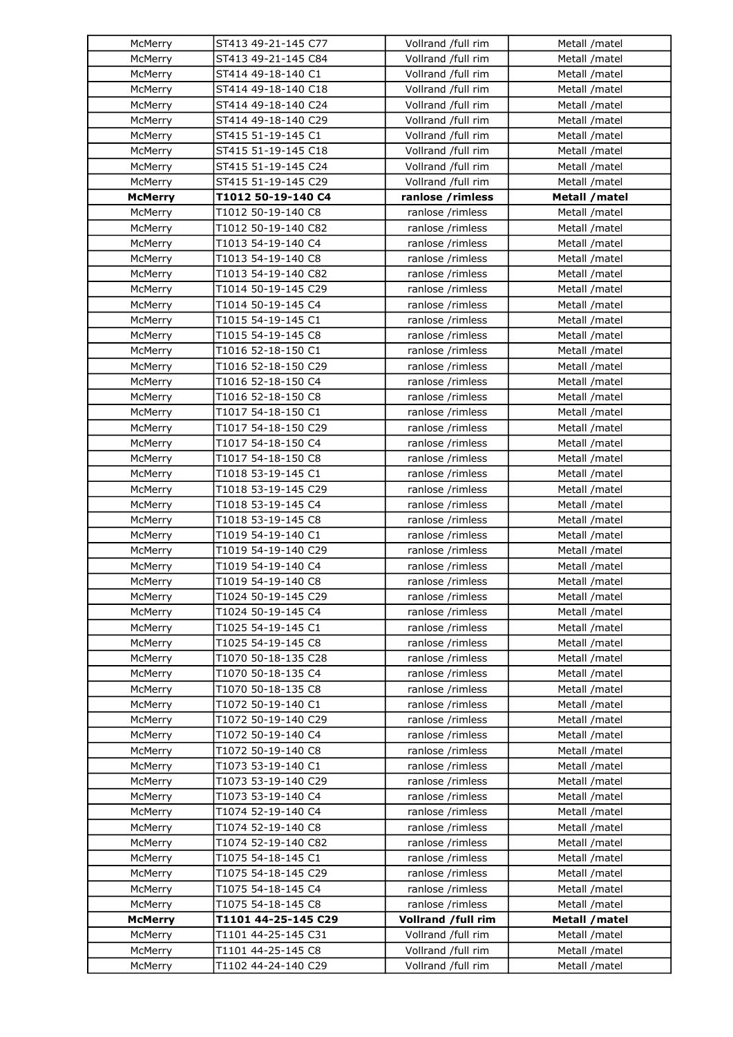| McMerry        | ST413 49-21-145 C77 | Vollrand /full rim | Metall /matel  |
|----------------|---------------------|--------------------|----------------|
| McMerry        | ST413 49-21-145 C84 | Vollrand /full rim | Metall /matel  |
| McMerry        | ST414 49-18-140 C1  | Vollrand /full rim | Metall /matel  |
| McMerry        | ST414 49-18-140 C18 | Vollrand /full rim | Metall /matel  |
| McMerry        | ST414 49-18-140 C24 | Vollrand /full rim | Metall /matel  |
| McMerry        | ST414 49-18-140 C29 | Vollrand /full rim | Metall /matel  |
| McMerry        | ST415 51-19-145 C1  | Vollrand /full rim | Metall /matel  |
| McMerry        | ST415 51-19-145 C18 | Vollrand /full rim | Metall /matel  |
| McMerry        | ST415 51-19-145 C24 | Vollrand /full rim | Metall /matel  |
| McMerry        | ST415 51-19-145 C29 | Vollrand /full rim | Metall /matel  |
| <b>McMerry</b> | T1012 50-19-140 C4  | ranlose /rimless   | Metall / matel |
| McMerry        | T1012 50-19-140 C8  | ranlose /rimless   | Metall /matel  |
| McMerry        | T1012 50-19-140 C82 | ranlose /rimless   | Metall /matel  |
| McMerry        | T1013 54-19-140 C4  | ranlose /rimless   | Metall /matel  |
| McMerry        | T1013 54-19-140 C8  | ranlose /rimless   | Metall /matel  |
| McMerry        | T1013 54-19-140 C82 | ranlose /rimless   | Metall /matel  |
| McMerry        | T1014 50-19-145 C29 | ranlose /rimless   | Metall /matel  |
| McMerry        | T1014 50-19-145 C4  | ranlose /rimless   | Metall /matel  |
| McMerry        | T1015 54-19-145 C1  | ranlose /rimless   | Metall /matel  |
| McMerry        | T1015 54-19-145 C8  | ranlose /rimless   | Metall /matel  |
| McMerry        | T1016 52-18-150 C1  | ranlose /rimless   | Metall /matel  |
| McMerry        | T1016 52-18-150 C29 | ranlose /rimless   | Metall /matel  |
| McMerry        | T1016 52-18-150 C4  | ranlose /rimless   | Metall /matel  |
| McMerry        | T1016 52-18-150 C8  | ranlose /rimless   | Metall /matel  |
| McMerry        | T1017 54-18-150 C1  | ranlose /rimless   | Metall /matel  |
| McMerry        | T1017 54-18-150 C29 | ranlose /rimless   | Metall /matel  |
| McMerry        | T1017 54-18-150 C4  | ranlose /rimless   | Metall /matel  |
| McMerry        | T1017 54-18-150 C8  | ranlose /rimless   | Metall /matel  |
| McMerry        | T1018 53-19-145 C1  | ranlose /rimless   | Metall /matel  |
| McMerry        | T1018 53-19-145 C29 | ranlose /rimless   | Metall /matel  |
| McMerry        | T1018 53-19-145 C4  | ranlose /rimless   | Metall /matel  |
| McMerry        | T1018 53-19-145 C8  | ranlose /rimless   | Metall /matel  |
| McMerry        | T1019 54-19-140 C1  | ranlose /rimless   | Metall /matel  |
| McMerry        | T1019 54-19-140 C29 | ranlose /rimless   | Metall /matel  |
| McMerry        | T1019 54-19-140 C4  | ranlose /rimless   | Metall /matel  |
| McMerry        | T1019 54-19-140 C8  | ranlose /rimless   | Metall /matel  |
| McMerry        | T1024 50-19-145 C29 | ranlose /rimless   | Metall /matel  |
| McMerry        | T1024 50-19-145 C4  | ranlose /rimless   | Metall /matel  |
| McMerry        | T1025 54-19-145 C1  | ranlose /rimless   | Metall /matel  |
| McMerry        | T1025 54-19-145 C8  | ranlose /rimless   | Metall /matel  |
| McMerry        | T1070 50-18-135 C28 | ranlose /rimless   | Metall /matel  |
| McMerry        | T1070 50-18-135 C4  | ranlose /rimless   | Metall /matel  |
| McMerry        | T1070 50-18-135 C8  | ranlose /rimless   | Metall /matel  |
| McMerry        | T1072 50-19-140 C1  | ranlose /rimless   | Metall /matel  |
| McMerry        | T1072 50-19-140 C29 | ranlose /rimless   | Metall /matel  |
| McMerry        | T1072 50-19-140 C4  | ranlose /rimless   | Metall /matel  |
| McMerry        | T1072 50-19-140 C8  | ranlose /rimless   | Metall /matel  |
| McMerry        | T1073 53-19-140 C1  | ranlose /rimless   | Metall /matel  |
| McMerry        | T1073 53-19-140 C29 | ranlose /rimless   | Metall /matel  |
| McMerry        | T1073 53-19-140 C4  | ranlose /rimless   | Metall /matel  |
| McMerry        | T1074 52-19-140 C4  | ranlose /rimless   | Metall /matel  |
| McMerry        | T1074 52-19-140 C8  | ranlose /rimless   | Metall /matel  |
| McMerry        | T1074 52-19-140 C82 | ranlose /rimless   | Metall /matel  |
| McMerry        | T1075 54-18-145 C1  | ranlose /rimless   | Metall /matel  |
| McMerry        | T1075 54-18-145 C29 | ranlose /rimless   | Metall /matel  |
| McMerry        | T1075 54-18-145 C4  | ranlose /rimless   | Metall /matel  |
| McMerry        | T1075 54-18-145 C8  | ranlose /rimless   | Metall /matel  |
| <b>McMerry</b> | T1101 44-25-145 C29 | Vollrand /full rim | Metall / matel |
| McMerry        | T1101 44-25-145 C31 | Vollrand /full rim | Metall /matel  |
| McMerry        | T1101 44-25-145 C8  | Vollrand /full rim | Metall /matel  |
| McMerry        | T1102 44-24-140 C29 | Vollrand /full rim | Metall /matel  |
|                |                     |                    |                |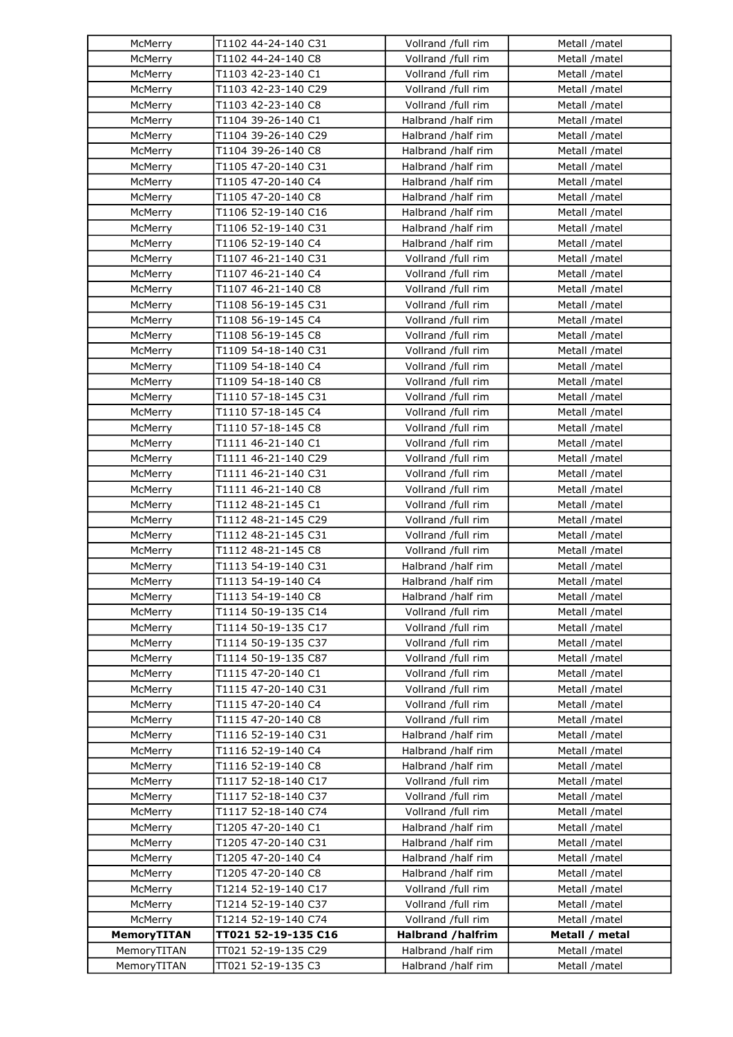| McMerry            | T1102 44-24-140 C31                       | Vollrand /full rim       | Metall /matel  |
|--------------------|-------------------------------------------|--------------------------|----------------|
| McMerry            | T1102 44-24-140 C8                        | Vollrand /full rim       | Metall /matel  |
| McMerry            | T1103 42-23-140 C1                        | Vollrand /full rim       | Metall /matel  |
| McMerry            | T1103 42-23-140 C29                       | Vollrand /full rim       | Metall /matel  |
| McMerry            | T1103 42-23-140 C8                        | Vollrand /full rim       | Metall /matel  |
| McMerry            | T1104 39-26-140 C1                        | Halbrand /half rim       | Metall /matel  |
| McMerry            | T1104 39-26-140 C29                       | Halbrand /half rim       | Metall /matel  |
| McMerry            | T1104 39-26-140 C8                        | Halbrand /half rim       | Metall /matel  |
| McMerry            | T1105 47-20-140 C31                       | Halbrand /half rim       | Metall /matel  |
| McMerry            | T1105 47-20-140 C4                        | Halbrand /half rim       | Metall /matel  |
| McMerry            | T1105 47-20-140 C8                        | Halbrand /half rim       | Metall /matel  |
| McMerry            | T1106 52-19-140 C16                       | Halbrand /half rim       | Metall /matel  |
| McMerry            | T1106 52-19-140 C31                       | Halbrand /half rim       | Metall /matel  |
| McMerry            | T1106 52-19-140 C4                        | Halbrand /half rim       | Metall /matel  |
| McMerry            | T1107 46-21-140 C31                       | Vollrand /full rim       | Metall /matel  |
| McMerry            | T1107 46-21-140 C4                        | Vollrand /full rim       | Metall /matel  |
| McMerry            | T1107 46-21-140 C8                        | Vollrand /full rim       | Metall /matel  |
| McMerry            | T1108 56-19-145 C31                       | Vollrand /full rim       | Metall /matel  |
| McMerry            | T1108 56-19-145 C4                        | Vollrand /full rim       | Metall /matel  |
| McMerry            | T1108 56-19-145 C8                        | Vollrand /full rim       | Metall /matel  |
| McMerry            |                                           | Vollrand /full rim       |                |
| McMerry            | T1109 54-18-140 C31<br>T1109 54-18-140 C4 | Vollrand /full rim       | Metall /matel  |
|                    |                                           |                          | Metall /matel  |
| McMerry            | T1109 54-18-140 C8                        | Vollrand /full rim       | Metall /matel  |
| McMerry            | T1110 57-18-145 C31                       | Vollrand /full rim       | Metall /matel  |
| McMerry            | T1110 57-18-145 C4                        | Vollrand /full rim       | Metall /matel  |
| McMerry            | T1110 57-18-145 C8                        | Vollrand /full rim       | Metall /matel  |
| McMerry            | T1111 46-21-140 C1                        | Vollrand /full rim       | Metall /matel  |
| McMerry            | T1111 46-21-140 C29                       | Vollrand /full rim       | Metall /matel  |
| McMerry            | T1111 46-21-140 C31                       | Vollrand /full rim       | Metall /matel  |
| McMerry            | T1111 46-21-140 C8                        | Vollrand /full rim       | Metall /matel  |
| McMerry            | T1112 48-21-145 C1                        | Vollrand /full rim       | Metall /matel  |
| McMerry            | T1112 48-21-145 C29                       | Vollrand /full rim       | Metall /matel  |
| McMerry            | T1112 48-21-145 C31                       | Vollrand /full rim       | Metall /matel  |
| McMerry            | T1112 48-21-145 C8                        | Vollrand /full rim       | Metall /matel  |
| McMerry            | T1113 54-19-140 C31                       | Halbrand /half rim       | Metall /matel  |
| McMerry            | T1113 54-19-140 C4                        | Halbrand /half rim       | Metall /matel  |
| McMerry            | T1113 54-19-140 C8                        | Halbrand /half rim       | Metall /matel  |
| McMerry            | T1114 50-19-135 C14                       | Vollrand /full rim       | Metall /matel  |
| McMerry            | T1114 50-19-135 C17                       | Vollrand /full rim       | Metall /matel  |
| McMerry            | T1114 50-19-135 C37                       | Vollrand /full rim       | Metall /matel  |
| McMerry            | T1114 50-19-135 C87                       | Vollrand /full rim       | Metall /matel  |
| McMerry            | T1115 47-20-140 C1                        | Vollrand /full rim       | Metall /matel  |
| McMerry            | T1115 47-20-140 C31                       | Vollrand /full rim       | Metall /matel  |
| McMerry            | T1115 47-20-140 C4                        | Vollrand /full rim       | Metall /matel  |
| McMerry            | T1115 47-20-140 C8                        | Vollrand /full rim       | Metall /matel  |
| McMerry            | T1116 52-19-140 C31                       | Halbrand /half rim       | Metall /matel  |
| McMerry            | T1116 52-19-140 C4                        | Halbrand /half rim       | Metall /matel  |
| McMerry            | T1116 52-19-140 C8                        | Halbrand /half rim       | Metall /matel  |
| McMerry            | T1117 52-18-140 C17                       | Vollrand /full rim       | Metall /matel  |
| McMerry            | T1117 52-18-140 C37                       | Vollrand /full rim       | Metall /matel  |
| McMerry            | T1117 52-18-140 C74                       | Vollrand /full rim       | Metall /matel  |
| McMerry            | T1205 47-20-140 C1                        | Halbrand /half rim       | Metall /matel  |
| McMerry            | T1205 47-20-140 C31                       | Halbrand /half rim       | Metall /matel  |
| McMerry            | T1205 47-20-140 C4                        | Halbrand /half rim       | Metall /matel  |
| McMerry            | T1205 47-20-140 C8                        | Halbrand /half rim       | Metall /matel  |
| McMerry            | T1214 52-19-140 C17                       | Vollrand /full rim       | Metall /matel  |
| McMerry            | T1214 52-19-140 C37                       | Vollrand /full rim       | Metall /matel  |
| McMerry            | T1214 52-19-140 C74                       | Vollrand /full rim       | Metall /matel  |
| <b>MemoryTITAN</b> | TT021 52-19-135 C16                       | <b>Halbrand /halfrim</b> | Metall / metal |
| MemoryTITAN        | TT021 52-19-135 C29                       | Halbrand /half rim       | Metall /matel  |
| MemoryTITAN        | TT021 52-19-135 C3                        | Halbrand /half rim       | Metall /matel  |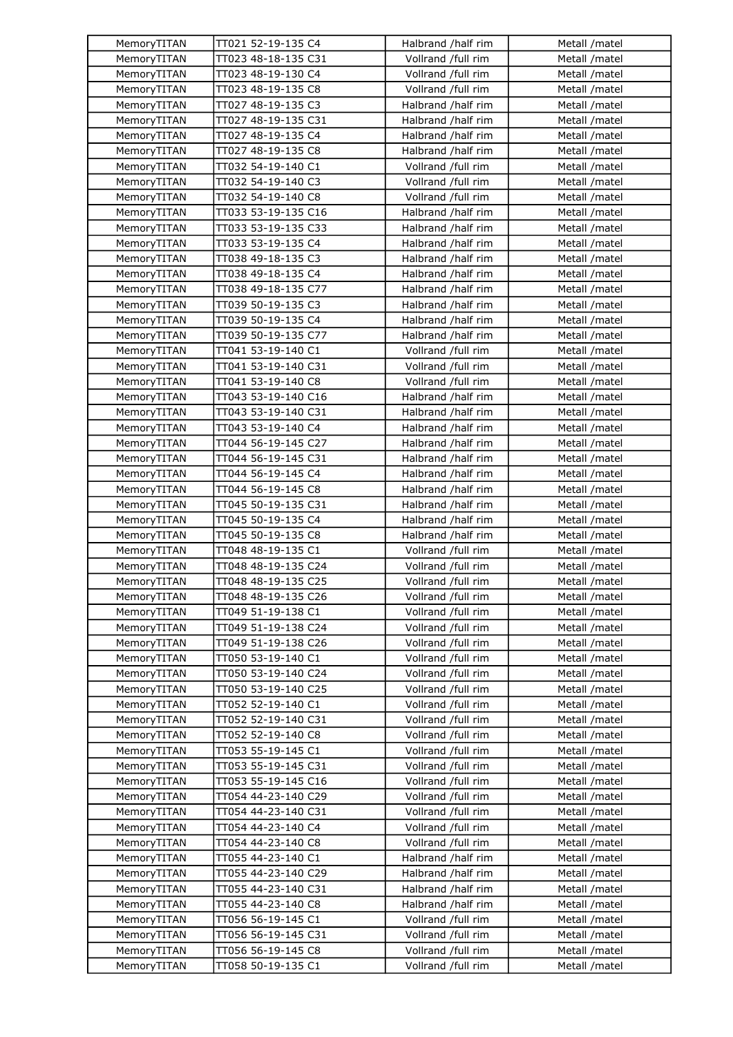| MemoryTITAN | TT021 52-19-135 C4                       | Halbrand /half rim                       | Metall /matel |
|-------------|------------------------------------------|------------------------------------------|---------------|
| MemoryTITAN | TT023 48-18-135 C31                      | Vollrand /full rim                       | Metall /matel |
| MemoryTITAN | TT023 48-19-130 C4                       | Vollrand /full rim                       | Metall /matel |
| MemoryTITAN | TT023 48-19-135 C8                       | Vollrand /full rim                       | Metall /matel |
| MemoryTITAN | TT027 48-19-135 C3                       | Halbrand /half rim                       | Metall /matel |
| MemoryTITAN | TT027 48-19-135 C31                      | Halbrand /half rim                       | Metall /matel |
| MemoryTITAN | TT027 48-19-135 C4                       | Halbrand /half rim                       | Metall /matel |
| MemoryTITAN | TT027 48-19-135 C8                       | Halbrand /half rim                       | Metall /matel |
| MemoryTITAN | TT032 54-19-140 C1                       | Vollrand /full rim                       | Metall /matel |
| MemoryTITAN | TT032 54-19-140 C3                       | Vollrand /full rim                       | Metall /matel |
| MemoryTITAN | TT032 54-19-140 C8                       | Vollrand /full rim                       | Metall /matel |
| MemoryTITAN | TT033 53-19-135 C16                      | Halbrand /half rim                       | Metall /matel |
| MemoryTITAN | TT033 53-19-135 C33                      | Halbrand /half rim                       | Metall /matel |
| MemoryTITAN | TT033 53-19-135 C4                       | Halbrand /half rim                       | Metall /matel |
| MemoryTITAN | TT038 49-18-135 C3                       | Halbrand /half rim                       | Metall /matel |
| MemoryTITAN | TT038 49-18-135 C4                       | Halbrand /half rim                       | Metall /matel |
| MemoryTITAN | TT038 49-18-135 C77                      | Halbrand /half rim                       | Metall /matel |
| MemoryTITAN | TT039 50-19-135 C3                       | Halbrand /half rim                       | Metall /matel |
| MemoryTITAN | TT039 50-19-135 C4                       | Halbrand /half rim                       | Metall /matel |
| MemoryTITAN | TT039 50-19-135 C77                      | Halbrand /half rim                       | Metall /matel |
| MemoryTITAN | TT041 53-19-140 C1                       | Vollrand /full rim                       | Metall /matel |
| MemoryTITAN | TT041 53-19-140 C31                      | Vollrand /full rim                       | Metall /matel |
| MemoryTITAN | TT041 53-19-140 C8                       | Vollrand /full rim                       | Metall /matel |
| MemoryTITAN | TT043 53-19-140 C16                      | Halbrand /half rim                       | Metall /matel |
| MemoryTITAN | TT043 53-19-140 C31                      | Halbrand /half rim                       | Metall /matel |
| MemoryTITAN | TT043 53-19-140 C4                       | Halbrand /half rim                       | Metall /matel |
| MemoryTITAN | TT044 56-19-145 C27                      | Halbrand /half rim                       | Metall /matel |
| MemoryTITAN | TT044 56-19-145 C31                      | Halbrand /half rim                       | Metall /matel |
| MemoryTITAN | TT044 56-19-145 C4                       | Halbrand /half rim                       |               |
|             |                                          | Halbrand /half rim                       | Metall /matel |
| MemoryTITAN | TT044 56-19-145 C8                       |                                          | Metall /matel |
| MemoryTITAN | TT045 50-19-135 C31                      | Halbrand /half rim                       | Metall /matel |
| MemoryTITAN | TT045 50-19-135 C4<br>TT045 50-19-135 C8 | Halbrand /half rim<br>Halbrand /half rim | Metall /matel |
| MemoryTITAN |                                          |                                          | Metall /matel |
| MemoryTITAN | TT048 48-19-135 C1                       | Vollrand /full rim                       | Metall /matel |
| MemoryTITAN | TT048 48-19-135 C24                      | Vollrand /full rim                       | Metall /matel |
| MemoryTITAN | TT048 48-19-135 C25                      | Vollrand /full rim                       | Metall /matel |
| MemoryTITAN | TT048 48-19-135 C26                      | Vollrand /full rim                       | Metall /matel |
| MemoryTITAN | TT049 51-19-138 C1                       | Vollrand /full rim                       | Metall /matel |
| MemoryTITAN | TT049 51-19-138 C24                      | Vollrand /full rim                       | Metall /matel |
| MemoryTITAN | TT049 51-19-138 C26                      | Vollrand /full rim                       | Metall /matel |
| MemoryTITAN | TT050 53-19-140 C1                       | Vollrand /full rim                       | Metall /matel |
| MemoryTITAN | TT050 53-19-140 C24                      | Vollrand /full rim                       | Metall /matel |
| MemoryTITAN | TT050 53-19-140 C25                      | Vollrand /full rim                       | Metall /matel |
| MemoryTITAN | TT052 52-19-140 C1                       | Vollrand /full rim                       | Metall /matel |
| MemoryTITAN | TT052 52-19-140 C31                      | Vollrand /full rim                       | Metall /matel |
| MemoryTITAN | TT052 52-19-140 C8                       | Vollrand /full rim                       | Metall /matel |
| MemoryTITAN | TT053 55-19-145 C1                       | Vollrand /full rim                       | Metall /matel |
| MemoryTITAN | TT053 55-19-145 C31                      | Vollrand /full rim                       | Metall /matel |
| MemoryTITAN | TT053 55-19-145 C16                      | Vollrand /full rim                       | Metall /matel |
| MemoryTITAN | TT054 44-23-140 C29                      | Vollrand /full rim                       | Metall /matel |
| MemoryTITAN | TT054 44-23-140 C31                      | Vollrand /full rim                       | Metall /matel |
| MemoryTITAN | TT054 44-23-140 C4                       | Vollrand /full rim                       | Metall /matel |
| MemoryTITAN | TT054 44-23-140 C8                       | Vollrand /full rim                       | Metall /matel |
| MemoryTITAN | TT055 44-23-140 C1                       | Halbrand /half rim                       | Metall /matel |
| MemoryTITAN | TT055 44-23-140 C29                      | Halbrand /half rim                       | Metall /matel |
| MemoryTITAN | TT055 44-23-140 C31                      | Halbrand /half rim                       | Metall /matel |
| MemoryTITAN | TT055 44-23-140 C8                       | Halbrand /half rim                       | Metall /matel |
| MemoryTITAN | TT056 56-19-145 C1                       | Vollrand /full rim                       | Metall /matel |
| MemoryTITAN | TT056 56-19-145 C31                      | Vollrand /full rim                       | Metall /matel |
| MemoryTITAN | TT056 56-19-145 C8                       | Vollrand /full rim                       | Metall /matel |
| MemoryTITAN | TT058 50-19-135 C1                       | Vollrand /full rim                       | Metall /matel |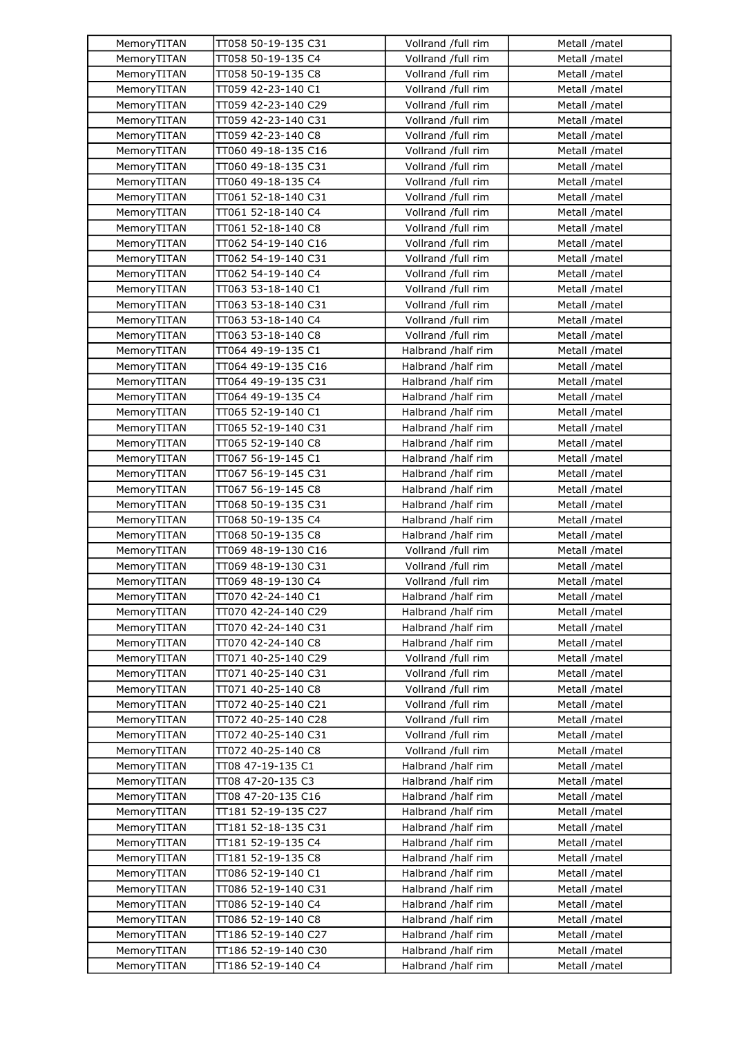| MemoryTITAN | TT058 50-19-135 C31 | Vollrand /full rim | Metall /matel |
|-------------|---------------------|--------------------|---------------|
| MemoryTITAN | TT058 50-19-135 C4  | Vollrand /full rim | Metall /matel |
| MemoryTITAN | TT058 50-19-135 C8  | Vollrand /full rim | Metall /matel |
| MemoryTITAN | TT059 42-23-140 C1  | Vollrand /full rim | Metall /matel |
| MemoryTITAN | TT059 42-23-140 C29 | Vollrand /full rim | Metall /matel |
| MemoryTITAN | TT059 42-23-140 C31 | Vollrand /full rim | Metall /matel |
| MemoryTITAN | TT059 42-23-140 C8  | Vollrand /full rim | Metall /matel |
| MemoryTITAN | TT060 49-18-135 C16 | Vollrand /full rim | Metall /matel |
| MemoryTITAN | TT060 49-18-135 C31 | Vollrand /full rim | Metall /matel |
| MemoryTITAN | TT060 49-18-135 C4  | Vollrand /full rim | Metall /matel |
| MemoryTITAN | TT061 52-18-140 C31 | Vollrand /full rim | Metall /matel |
| MemoryTITAN | TT061 52-18-140 C4  | Vollrand /full rim | Metall /matel |
| MemoryTITAN | TT061 52-18-140 C8  | Vollrand /full rim | Metall /matel |
| MemoryTITAN | TT062 54-19-140 C16 | Vollrand /full rim | Metall /matel |
| MemoryTITAN | TT062 54-19-140 C31 | Vollrand /full rim | Metall /matel |
|             |                     |                    |               |
| MemoryTITAN | TT062 54-19-140 C4  | Vollrand /full rim | Metall /matel |
| MemoryTITAN | TT063 53-18-140 C1  | Vollrand /full rim | Metall /matel |
| MemoryTITAN | TT063 53-18-140 C31 | Vollrand /full rim | Metall /matel |
| MemoryTITAN | TT063 53-18-140 C4  | Vollrand /full rim | Metall /matel |
| MemoryTITAN | TT063 53-18-140 C8  | Vollrand /full rim | Metall /matel |
| MemoryTITAN | TT064 49-19-135 C1  | Halbrand /half rim | Metall /matel |
| MemoryTITAN | TT064 49-19-135 C16 | Halbrand /half rim | Metall /matel |
| MemoryTITAN | TT064 49-19-135 C31 | Halbrand /half rim | Metall /matel |
| MemoryTITAN | TT064 49-19-135 C4  | Halbrand /half rim | Metall /matel |
| MemoryTITAN | TT065 52-19-140 C1  | Halbrand /half rim | Metall /matel |
| MemoryTITAN | TT065 52-19-140 C31 | Halbrand /half rim | Metall /matel |
| MemoryTITAN | TT065 52-19-140 C8  | Halbrand /half rim | Metall /matel |
| MemoryTITAN | TT067 56-19-145 C1  | Halbrand /half rim | Metall /matel |
| MemoryTITAN | TT067 56-19-145 C31 | Halbrand /half rim | Metall /matel |
| MemoryTITAN | TT067 56-19-145 C8  | Halbrand /half rim | Metall /matel |
| MemoryTITAN | TT068 50-19-135 C31 | Halbrand /half rim | Metall /matel |
| MemoryTITAN | TT068 50-19-135 C4  | Halbrand /half rim | Metall /matel |
| MemoryTITAN | TT068 50-19-135 C8  | Halbrand /half rim | Metall /matel |
| MemoryTITAN | TT069 48-19-130 C16 | Vollrand /full rim | Metall /matel |
| MemoryTITAN | TT069 48-19-130 C31 | Vollrand /full rim | Metall /matel |
| MemoryTITAN | TT069 48-19-130 C4  | Vollrand /full rim | Metall /matel |
| MemoryTITAN | TT070 42-24-140 C1  | Halbrand /half rim | Metall /matel |
| MemoryTITAN | TT070 42-24-140 C29 | Halbrand /half rim | Metall /matel |
| MemoryTITAN | TT070 42-24-140 C31 | Halbrand /half rim | Metall /matel |
| MemoryTITAN | TT070 42-24-140 C8  | Halbrand /half rim | Metall /matel |
| MemoryTITAN | TT071 40-25-140 C29 | Vollrand /full rim | Metall /matel |
| MemoryTITAN | TT071 40-25-140 C31 | Vollrand /full rim | Metall /matel |
| MemoryTITAN | TT071 40-25-140 C8  | Vollrand /full rim | Metall /matel |
| MemoryTITAN | TT072 40-25-140 C21 | Vollrand /full rim | Metall /matel |
| MemoryTITAN | TT072 40-25-140 C28 | Vollrand /full rim | Metall /matel |
| MemoryTITAN | TT072 40-25-140 C31 | Vollrand /full rim | Metall /matel |
| MemoryTITAN | TT072 40-25-140 C8  | Vollrand /full rim | Metall /matel |
| MemoryTITAN | TT08 47-19-135 C1   | Halbrand /half rim | Metall /matel |
| MemoryTITAN | TT08 47-20-135 C3   | Halbrand /half rim | Metall /matel |
| MemoryTITAN | TT08 47-20-135 C16  | Halbrand /half rim | Metall /matel |
| MemoryTITAN | TT181 52-19-135 C27 | Halbrand /half rim | Metall /matel |
| MemoryTITAN | TT181 52-18-135 C31 | Halbrand /half rim | Metall /matel |
| MemoryTITAN | TT181 52-19-135 C4  | Halbrand /half rim | Metall /matel |
| MemoryTITAN | TT181 52-19-135 C8  | Halbrand /half rim | Metall /matel |
| MemoryTITAN | TT086 52-19-140 C1  | Halbrand /half rim | Metall /matel |
| MemoryTITAN | TT086 52-19-140 C31 | Halbrand /half rim | Metall /matel |
| MemoryTITAN | TT086 52-19-140 C4  | Halbrand /half rim | Metall /matel |
| MemoryTITAN | TT086 52-19-140 C8  | Halbrand /half rim | Metall /matel |
| MemoryTITAN | TT186 52-19-140 C27 | Halbrand /half rim | Metall /matel |
| MemoryTITAN | TT186 52-19-140 C30 | Halbrand /half rim | Metall /matel |
|             | TT186 52-19-140 C4  | Halbrand /half rim |               |
| MemoryTITAN |                     |                    | Metall /matel |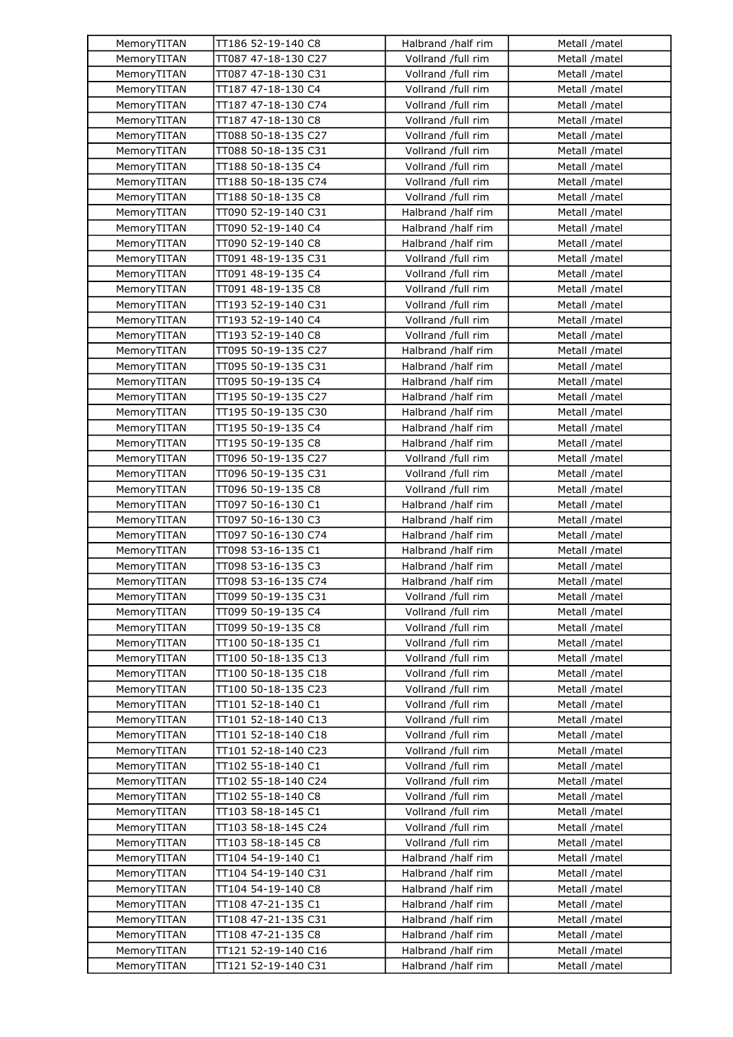| MemoryTITAN | TT186 52-19-140 C8  | Halbrand /half rim | Metall /matel |
|-------------|---------------------|--------------------|---------------|
| MemoryTITAN | TT087 47-18-130 C27 | Vollrand /full rim | Metall /matel |
| MemoryTITAN | TT087 47-18-130 C31 | Vollrand /full rim | Metall /matel |
| MemoryTITAN | TT187 47-18-130 C4  | Vollrand /full rim | Metall /matel |
| MemoryTITAN | TT187 47-18-130 C74 | Vollrand /full rim | Metall /matel |
| MemoryTITAN | TT187 47-18-130 C8  | Vollrand /full rim | Metall /matel |
| MemoryTITAN | TT088 50-18-135 C27 | Vollrand /full rim | Metall /matel |
| MemoryTITAN | TT088 50-18-135 C31 | Vollrand /full rim | Metall /matel |
| MemoryTITAN | TT188 50-18-135 C4  | Vollrand /full rim | Metall /matel |
| MemoryTITAN | TT188 50-18-135 C74 | Vollrand /full rim | Metall /matel |
| MemoryTITAN | TT188 50-18-135 C8  | Vollrand /full rim | Metall /matel |
| MemoryTITAN | TT090 52-19-140 C31 | Halbrand /half rim | Metall /matel |
| MemoryTITAN | TT090 52-19-140 C4  | Halbrand /half rim | Metall /matel |
| MemoryTITAN | TT090 52-19-140 C8  | Halbrand /half rim | Metall /matel |
| MemoryTITAN | TT091 48-19-135 C31 | Vollrand /full rim | Metall /matel |
|             |                     | Vollrand /full rim |               |
| MemoryTITAN | TT091 48-19-135 C4  |                    | Metall /matel |
| MemoryTITAN | TT091 48-19-135 C8  | Vollrand /full rim | Metall /matel |
| MemoryTITAN | TT193 52-19-140 C31 | Vollrand /full rim | Metall /matel |
| MemoryTITAN | TT193 52-19-140 C4  | Vollrand /full rim | Metall /matel |
| MemoryTITAN | TT193 52-19-140 C8  | Vollrand /full rim | Metall /matel |
| MemoryTITAN | TT095 50-19-135 C27 | Halbrand /half rim | Metall /matel |
| MemoryTITAN | TT095 50-19-135 C31 | Halbrand /half rim | Metall /matel |
| MemoryTITAN | TT095 50-19-135 C4  | Halbrand /half rim | Metall /matel |
| MemoryTITAN | TT195 50-19-135 C27 | Halbrand /half rim | Metall /matel |
| MemoryTITAN | TT195 50-19-135 C30 | Halbrand /half rim | Metall /matel |
| MemoryTITAN | TT195 50-19-135 C4  | Halbrand /half rim | Metall /matel |
| MemoryTITAN | TT195 50-19-135 C8  | Halbrand /half rim | Metall /matel |
| MemoryTITAN | TT096 50-19-135 C27 | Vollrand /full rim | Metall /matel |
| MemoryTITAN | TT096 50-19-135 C31 | Vollrand /full rim | Metall /matel |
| MemoryTITAN | TT096 50-19-135 C8  | Vollrand /full rim | Metall /matel |
| MemoryTITAN | TT097 50-16-130 C1  | Halbrand /half rim | Metall /matel |
| MemoryTITAN | TT097 50-16-130 C3  | Halbrand /half rim | Metall /matel |
| MemoryTITAN | TT097 50-16-130 C74 | Halbrand /half rim | Metall /matel |
| MemoryTITAN | TT098 53-16-135 C1  | Halbrand /half rim | Metall /matel |
| MemoryTITAN | TT098 53-16-135 C3  | Halbrand /half rim | Metall /matel |
| MemoryTITAN | TT098 53-16-135 C74 | Halbrand /half rim | Metall /matel |
| MemoryTITAN | TT099 50-19-135 C31 | Vollrand /full rim | Metall /matel |
| MemoryTITAN | TT099 50-19-135 C4  | Vollrand /full rim | Metall /matel |
| MemoryTITAN | TT099 50-19-135 C8  | Vollrand /full rim | Metall /matel |
| MemoryTITAN | TT100 50-18-135 C1  | Vollrand /full rim | Metall /matel |
| MemoryTITAN | TT100 50-18-135 C13 | Vollrand /full rim | Metall /matel |
| MemoryTITAN | TT100 50-18-135 C18 | Vollrand /full rim | Metall /matel |
| MemoryTITAN | TT100 50-18-135 C23 | Vollrand /full rim | Metall /matel |
| MemoryTITAN | TT101 52-18-140 C1  | Vollrand /full rim | Metall /matel |
| MemoryTITAN | TT101 52-18-140 C13 | Vollrand /full rim | Metall /matel |
| MemoryTITAN | TT101 52-18-140 C18 | Vollrand /full rim | Metall /matel |
| MemoryTITAN | TT101 52-18-140 C23 | Vollrand /full rim | Metall /matel |
| MemoryTITAN | TT102 55-18-140 C1  | Vollrand /full rim | Metall /matel |
| MemoryTITAN | TT102 55-18-140 C24 | Vollrand /full rim | Metall /matel |
| MemoryTITAN | TT102 55-18-140 C8  | Vollrand /full rim | Metall /matel |
| MemoryTITAN | TT103 58-18-145 C1  | Vollrand /full rim | Metall /matel |
| MemoryTITAN | TT103 58-18-145 C24 | Vollrand /full rim | Metall /matel |
| MemoryTITAN | TT103 58-18-145 C8  | Vollrand /full rim | Metall /matel |
| MemoryTITAN | TT104 54-19-140 C1  | Halbrand /half rim | Metall /matel |
| MemoryTITAN | TT104 54-19-140 C31 | Halbrand /half rim | Metall /matel |
| MemoryTITAN | TT104 54-19-140 C8  | Halbrand /half rim | Metall /matel |
| MemoryTITAN | TT108 47-21-135 C1  | Halbrand /half rim | Metall /matel |
| MemoryTITAN | TT108 47-21-135 C31 | Halbrand /half rim | Metall /matel |
| MemoryTITAN | TT108 47-21-135 C8  | Halbrand /half rim | Metall /matel |
|             |                     | Halbrand /half rim | Metall /matel |
| MemoryTITAN | TT121 52-19-140 C16 |                    |               |
| MemoryTITAN | TT121 52-19-140 C31 | Halbrand /half rim | Metall /matel |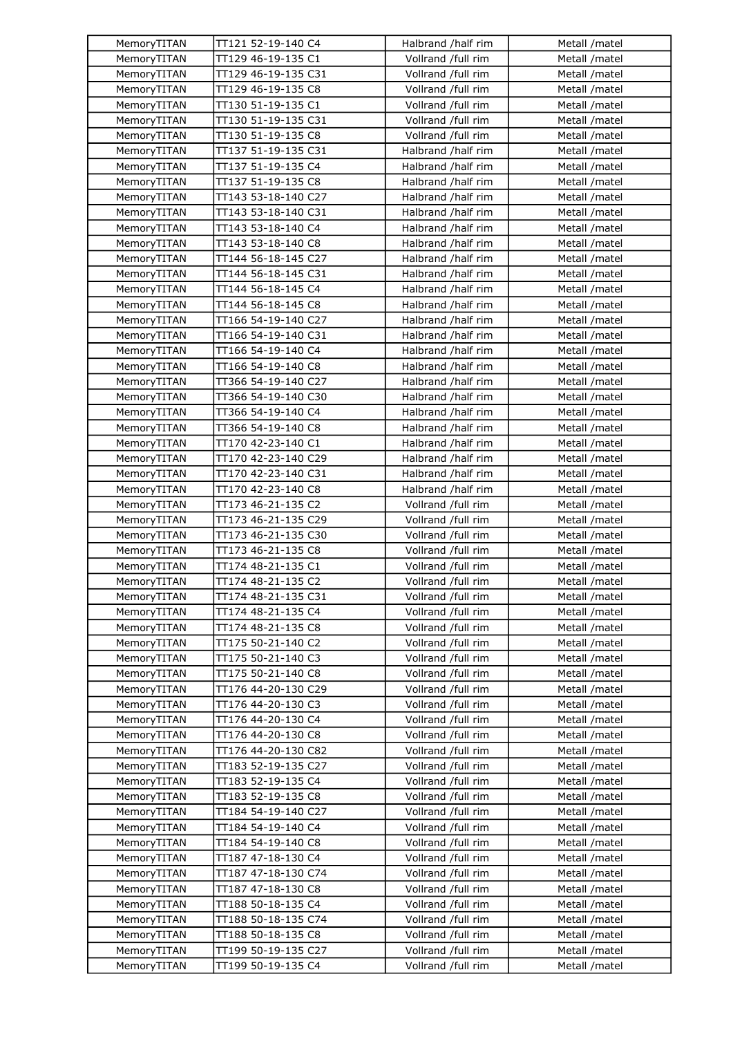| MemoryTITAN | TT121 52-19-140 C4                        | Halbrand /half rim | Metall /matel |
|-------------|-------------------------------------------|--------------------|---------------|
| MemoryTITAN | TT129 46-19-135 C1                        | Vollrand /full rim | Metall /matel |
| MemoryTITAN | TT129 46-19-135 C31                       | Vollrand /full rim | Metall /matel |
| MemoryTITAN | TT129 46-19-135 C8                        | Vollrand /full rim | Metall /matel |
| MemoryTITAN | TT130 51-19-135 C1                        | Vollrand /full rim | Metall /matel |
| MemoryTITAN | TT130 51-19-135 C31                       | Vollrand /full rim | Metall /matel |
| MemoryTITAN | TT130 51-19-135 C8                        | Vollrand /full rim | Metall /matel |
| MemoryTITAN | TT137 51-19-135 C31                       | Halbrand /half rim | Metall /matel |
| MemoryTITAN | TT137 51-19-135 C4                        | Halbrand /half rim | Metall /matel |
| MemoryTITAN | TT137 51-19-135 C8                        | Halbrand /half rim | Metall /matel |
| MemoryTITAN | TT143 53-18-140 C27                       | Halbrand /half rim | Metall /matel |
| MemoryTITAN | TT143 53-18-140 C31                       | Halbrand /half rim | Metall /matel |
| MemoryTITAN | TT143 53-18-140 C4                        | Halbrand /half rim | Metall /matel |
| MemoryTITAN | TT143 53-18-140 C8                        | Halbrand /half rim | Metall /matel |
| MemoryTITAN | TT144 56-18-145 C27                       | Halbrand /half rim | Metall /matel |
|             |                                           |                    |               |
| MemoryTITAN | TT144 56-18-145 C31                       | Halbrand /half rim | Metall /matel |
| MemoryTITAN | TT144 56-18-145 C4                        | Halbrand /half rim | Metall /matel |
| MemoryTITAN | TT144 56-18-145 C8                        | Halbrand /half rim | Metall /matel |
| MemoryTITAN | TT166 54-19-140 C27                       | Halbrand /half rim | Metall /matel |
| MemoryTITAN | TT166 54-19-140 C31                       | Halbrand /half rim | Metall /matel |
| MemoryTITAN | TT166 54-19-140 C4                        | Halbrand /half rim | Metall /matel |
| MemoryTITAN | TT166 54-19-140 C8                        | Halbrand /half rim | Metall /matel |
| MemoryTITAN | TT366 54-19-140 C27                       | Halbrand /half rim | Metall /matel |
| MemoryTITAN | TT366 54-19-140 C30                       | Halbrand /half rim | Metall /matel |
| MemoryTITAN | TT366 54-19-140 C4                        | Halbrand /half rim | Metall /matel |
| MemoryTITAN | TT366 54-19-140 C8                        | Halbrand /half rim | Metall /matel |
| MemoryTITAN | TT170 42-23-140 C1                        | Halbrand /half rim | Metall /matel |
| MemoryTITAN | TT170 42-23-140 C29                       | Halbrand /half rim | Metall /matel |
| MemoryTITAN | TT170 42-23-140 C31                       | Halbrand /half rim | Metall /matel |
| MemoryTITAN | TT170 42-23-140 C8                        | Halbrand /half rim | Metall /matel |
| MemoryTITAN | TT173 46-21-135 C2                        | Vollrand /full rim | Metall /matel |
| MemoryTITAN | TT173 46-21-135 C29                       | Vollrand /full rim | Metall /matel |
| MemoryTITAN | TT173 46-21-135 C30                       | Vollrand /full rim | Metall /matel |
| MemoryTITAN | TT173 46-21-135 C8                        | Vollrand /full rim | Metall /matel |
| MemoryTITAN | TT174 48-21-135 C1                        | Vollrand /full rim | Metall /matel |
| MemoryTITAN | TT174 48-21-135 C2                        | Vollrand /full rim | Metall /matel |
| MemoryTITAN | TT174 48-21-135 C31                       | Vollrand /full rim | Metall /matel |
| MemoryTITAN | TT174 48-21-135 C4                        | Vollrand /full rim | Metall /matel |
| MemoryTITAN | TT174 48-21-135 C8                        | Vollrand /full rim | Metall /matel |
| MemoryTITAN | TT175 50-21-140 C2                        | Vollrand /full rim | Metall /matel |
| MemoryTITAN | TT175 50-21-140 C3                        | Vollrand /full rim | Metall /matel |
| MemoryTITAN | TT175 50-21-140 C8                        | Vollrand /full rim | Metall /matel |
| MemoryTITAN | TT176 44-20-130 C29                       | Vollrand /full rim | Metall /matel |
| MemoryTITAN | TT176 44-20-130 C3                        | Vollrand /full rim | Metall /matel |
| MemoryTITAN | TT176 44-20-130 C4                        | Vollrand /full rim | Metall /matel |
| MemoryTITAN | TT176 44-20-130 C8                        | Vollrand /full rim | Metall /matel |
| MemoryTITAN | TT176 44-20-130 C82                       | Vollrand /full rim | Metall /matel |
| MemoryTITAN | TT183 52-19-135 C27                       | Vollrand /full rim | Metall /matel |
| MemoryTITAN | TT183 52-19-135 C4                        | Vollrand /full rim | Metall /matel |
| MemoryTITAN | TT183 52-19-135 C8                        | Vollrand /full rim | Metall /matel |
| MemoryTITAN | TT184 54-19-140 C27                       | Vollrand /full rim | Metall /matel |
| MemoryTITAN | TT184 54-19-140 C4                        | Vollrand /full rim | Metall /matel |
| MemoryTITAN | TT184 54-19-140 C8                        | Vollrand /full rim | Metall /matel |
| MemoryTITAN | TT187 47-18-130 C4                        | Vollrand /full rim | Metall /matel |
| MemoryTITAN | TT187 47-18-130 C74                       | Vollrand /full rim | Metall /matel |
| MemoryTITAN | TT187 47-18-130 C8                        | Vollrand /full rim | Metall /matel |
| MemoryTITAN | TT188 50-18-135 C4                        | Vollrand /full rim | Metall /matel |
|             |                                           |                    |               |
| MemoryTITAN | TT188 50-18-135 C74<br>TT188 50-18-135 C8 | Vollrand /full rim | Metall /matel |
| MemoryTITAN |                                           | Vollrand /full rim | Metall /matel |
| MemoryTITAN | TT199 50-19-135 C27                       | Vollrand /full rim | Metall /matel |
| MemoryTITAN | TT199 50-19-135 C4                        | Vollrand /full rim | Metall /matel |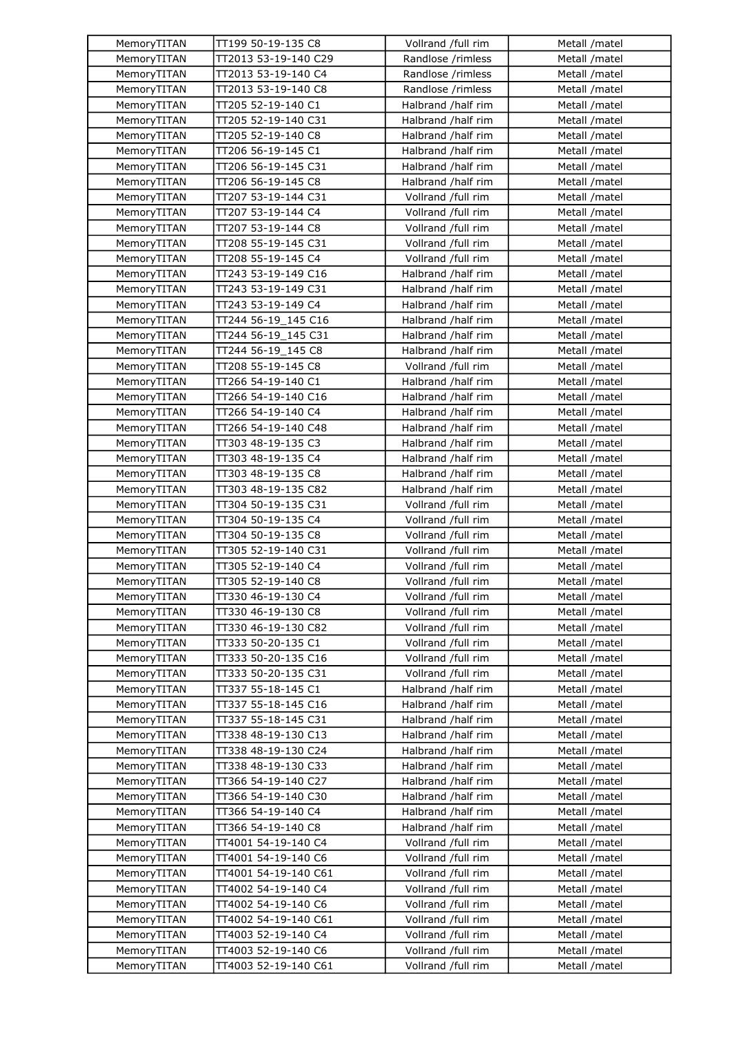| MemoryTITAN | TT199 50-19-135 C8   | Vollrand /full rim | Metall /matel  |
|-------------|----------------------|--------------------|----------------|
| MemoryTITAN | TT2013 53-19-140 C29 | Randlose /rimless  | Metall /matel  |
| MemoryTITAN | TT2013 53-19-140 C4  | Randlose /rimless  | Metall /matel  |
| MemoryTITAN | TT2013 53-19-140 C8  | Randlose /rimless  | Metall /matel  |
| MemoryTITAN | TT205 52-19-140 C1   | Halbrand /half rim | Metall /matel  |
| MemoryTITAN | TT205 52-19-140 C31  | Halbrand /half rim | Metall /matel  |
| MemoryTITAN | TT205 52-19-140 C8   | Halbrand /half rim | Metall /matel  |
| MemoryTITAN | TT206 56-19-145 C1   | Halbrand /half rim | Metall /matel  |
| MemoryTITAN | TT206 56-19-145 C31  | Halbrand /half rim | Metall /matel  |
| MemoryTITAN | TT206 56-19-145 C8   | Halbrand /half rim | Metall /matel  |
| MemoryTITAN | TT207 53-19-144 C31  | Vollrand /full rim | Metall /matel  |
| MemoryTITAN | TT207 53-19-144 C4   | Vollrand /full rim | Metall /matel  |
| MemoryTITAN | TT207 53-19-144 C8   | Vollrand /full rim | Metall /matel  |
| MemoryTITAN | TT208 55-19-145 C31  | Vollrand /full rim | Metall /matel  |
| MemoryTITAN | TT208 55-19-145 C4   | Vollrand /full rim | Metall /matel  |
| MemoryTITAN | TT243 53-19-149 C16  | Halbrand /half rim | Metall /matel  |
| MemoryTITAN | TT243 53-19-149 C31  | Halbrand /half rim | Metall /matel  |
| MemoryTITAN | TT243 53-19-149 C4   | Halbrand /half rim | Metall /matel  |
| MemoryTITAN | TT244 56-19 145 C16  | Halbrand /half rim | Metall /matel  |
| MemoryTITAN | TT244 56-19_145 C31  | Halbrand /half rim | Metall /matel  |
| MemoryTITAN | TT244 56-19_145 C8   | Halbrand /half rim | Metall /matel  |
| MemoryTITAN | TT208 55-19-145 C8   | Vollrand /full rim | Metall /matel  |
|             | TT266 54-19-140 C1   |                    |                |
| MemoryTITAN |                      | Halbrand /half rim | Metall /matel  |
| MemoryTITAN | TT266 54-19-140 C16  | Halbrand /half rim | Metall /matel  |
| MemoryTITAN | TT266 54-19-140 C4   | Halbrand /half rim | Metall /matel  |
| MemoryTITAN | TT266 54-19-140 C48  | Halbrand /half rim | Metall /matel  |
| MemoryTITAN | TT303 48-19-135 C3   | Halbrand /half rim | Metall /matel  |
| MemoryTITAN | TT303 48-19-135 C4   | Halbrand /half rim | Metall /matel  |
| MemoryTITAN | TT303 48-19-135 C8   | Halbrand /half rim | Metall /matel  |
| MemoryTITAN | TT303 48-19-135 C82  | Halbrand /half rim | Metall /matel  |
| MemoryTITAN | TT304 50-19-135 C31  | Vollrand /full rim | Metall /matel  |
| MemoryTITAN | TT304 50-19-135 C4   | Vollrand /full rim | Metall /matel  |
| MemoryTITAN | TT304 50-19-135 C8   | Vollrand /full rim | Metall /matel  |
| MemoryTITAN | TT305 52-19-140 C31  | Vollrand /full rim | Metall /matel  |
| MemoryTITAN | TT305 52-19-140 C4   | Vollrand /full rim | Metall /matel  |
| MemoryTITAN | TT305 52-19-140 C8   | Vollrand /full rim | Metall /matel  |
| MemoryTITAN | TT330 46-19-130 C4   | Vollrand /full rim | Metall /matel  |
| MemoryTITAN | TT330 46-19-130 C8   | Vollrand /full rim | Metall /matel  |
| MemoryTITAN | TT330 46-19-130 C82  | Vollrand /full rim | Metall /matel  |
| MemoryTITAN | TT333 50-20-135 C1   | Vollrand /full rim | Metall /matel  |
| MemoryTITAN | TT333 50-20-135 C16  | Vollrand /full rim | Metall /matel  |
| MemoryTITAN | TT333 50-20-135 C31  | Vollrand /full rim | Metall /matel  |
| MemoryTITAN | TT337 55-18-145 C1   | Halbrand /half rim | Metall /matel  |
| MemoryTITAN | TT337 55-18-145 C16  | Halbrand /half rim | Metall /matel  |
| MemoryTITAN | TT337 55-18-145 C31  | Halbrand /half rim | Metall / matel |
| MemoryTITAN | TT338 48-19-130 C13  | Halbrand /half rim | Metall /matel  |
| MemoryTITAN | TT338 48-19-130 C24  | Halbrand /half rim | Metall /matel  |
| MemoryTITAN | TT338 48-19-130 C33  | Halbrand /half rim | Metall /matel  |
| MemoryTITAN | TT366 54-19-140 C27  | Halbrand /half rim | Metall /matel  |
| MemoryTITAN | TT366 54-19-140 C30  | Halbrand /half rim | Metall /matel  |
| MemoryTITAN | TT366 54-19-140 C4   | Halbrand /half rim | Metall /matel  |
| MemoryTITAN | TT366 54-19-140 C8   | Halbrand /half rim | Metall / matel |
| MemoryTITAN | TT4001 54-19-140 C4  | Vollrand /full rim | Metall /matel  |
| MemoryTITAN | TT4001 54-19-140 C6  | Vollrand /full rim | Metall /matel  |
| MemoryTITAN | TT4001 54-19-140 C61 | Vollrand /full rim | Metall /matel  |
| MemoryTITAN | TT4002 54-19-140 C4  | Vollrand /full rim | Metall /matel  |
| MemoryTITAN | TT4002 54-19-140 C6  | Vollrand /full rim | Metall /matel  |
| MemoryTITAN | TT4002 54-19-140 C61 | Vollrand /full rim | Metall /matel  |
| MemoryTITAN | TT4003 52-19-140 C4  | Vollrand /full rim | Metall /matel  |
| MemoryTITAN | TT4003 52-19-140 C6  | Vollrand /full rim | Metall /matel  |
| MemoryTITAN | TT4003 52-19-140 C61 | Vollrand /full rim | Metall /matel  |
|             |                      |                    |                |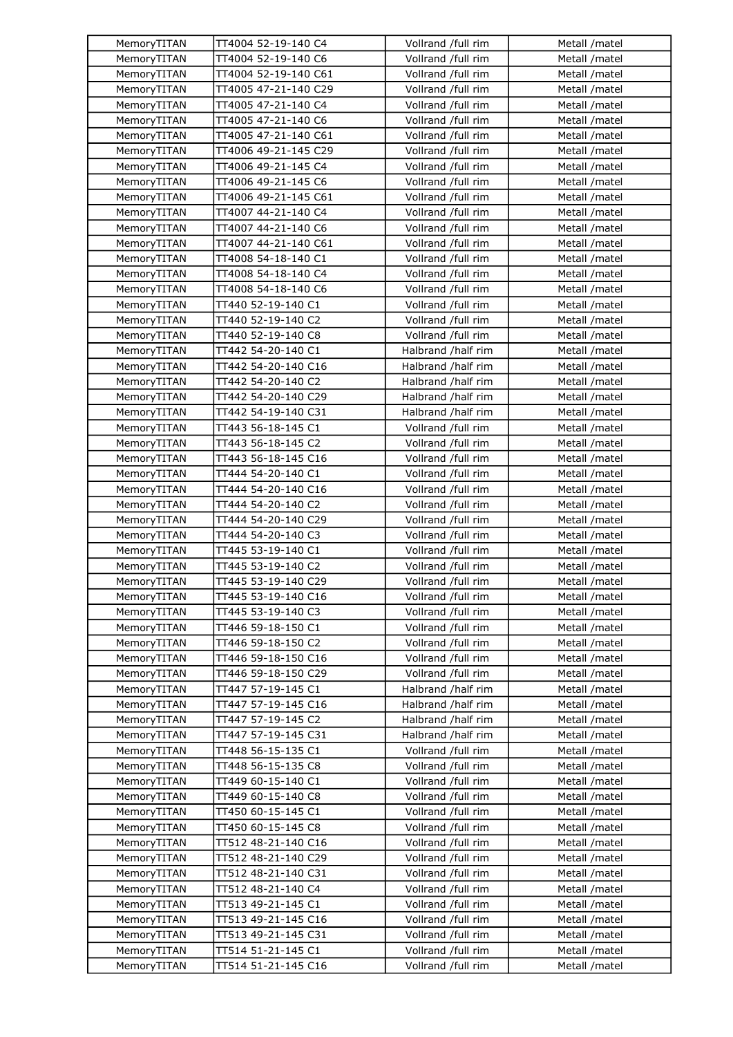| MemoryTITAN                | TT4004 52-19-140 C4  | Vollrand /full rim | Metall /matel |
|----------------------------|----------------------|--------------------|---------------|
| MemoryTITAN                | TT4004 52-19-140 C6  | Vollrand /full rim | Metall /matel |
| MemoryTITAN                | TT4004 52-19-140 C61 | Vollrand /full rim | Metall /matel |
| MemoryTITAN                | TT4005 47-21-140 C29 | Vollrand /full rim | Metall /matel |
| MemoryTITAN                | TT4005 47-21-140 C4  | Vollrand /full rim | Metall /matel |
| MemoryTITAN                | TT4005 47-21-140 C6  | Vollrand /full rim | Metall /matel |
| MemoryTITAN                | TT4005 47-21-140 C61 | Vollrand /full rim | Metall /matel |
| MemoryTITAN                | TT4006 49-21-145 C29 | Vollrand /full rim | Metall /matel |
| MemoryTITAN                | TT4006 49-21-145 C4  | Vollrand /full rim | Metall /matel |
| MemoryTITAN                | TT4006 49-21-145 C6  | Vollrand /full rim | Metall /matel |
| MemoryTITAN                | TT4006 49-21-145 C61 | Vollrand /full rim | Metall /matel |
| MemoryTITAN                | TT4007 44-21-140 C4  | Vollrand /full rim | Metall /matel |
| MemoryTITAN                | TT4007 44-21-140 C6  | Vollrand /full rim | Metall /matel |
| MemoryTITAN                | TT4007 44-21-140 C61 | Vollrand /full rim | Metall /matel |
| MemoryTITAN                | TT4008 54-18-140 C1  | Vollrand /full rim | Metall /matel |
| MemoryTITAN                | TT4008 54-18-140 C4  | Vollrand /full rim | Metall /matel |
| MemoryTITAN                | TT4008 54-18-140 C6  | Vollrand /full rim | Metall /matel |
| MemoryTITAN                | TT440 52-19-140 C1   | Vollrand /full rim | Metall /matel |
| MemoryTITAN                | TT440 52-19-140 C2   | Vollrand /full rim | Metall /matel |
| MemoryTITAN                | TT440 52-19-140 C8   | Vollrand /full rim | Metall /matel |
|                            | TT442 54-20-140 C1   | Halbrand /half rim | Metall /matel |
| MemoryTITAN<br>MemoryTITAN | TT442 54-20-140 C16  | Halbrand /half rim | Metall /matel |
| MemoryTITAN                |                      |                    |               |
|                            | TT442 54-20-140 C2   | Halbrand /half rim | Metall /matel |
| MemoryTITAN                | TT442 54-20-140 C29  | Halbrand /half rim | Metall /matel |
| MemoryTITAN                | TT442 54-19-140 C31  | Halbrand /half rim | Metall /matel |
| MemoryTITAN                | TT443 56-18-145 C1   | Vollrand /full rim | Metall /matel |
| MemoryTITAN                | TT443 56-18-145 C2   | Vollrand /full rim | Metall /matel |
| MemoryTITAN                | TT443 56-18-145 C16  | Vollrand /full rim | Metall /matel |
| MemoryTITAN                | TT444 54-20-140 C1   | Vollrand /full rim | Metall /matel |
| MemoryTITAN                | TT444 54-20-140 C16  | Vollrand /full rim | Metall /matel |
| MemoryTITAN                | TT444 54-20-140 C2   | Vollrand /full rim | Metall /matel |
| MemoryTITAN                | TT444 54-20-140 C29  | Vollrand /full rim | Metall /matel |
| MemoryTITAN                | TT444 54-20-140 C3   | Vollrand /full rim | Metall /matel |
| MemoryTITAN                | TT445 53-19-140 C1   | Vollrand /full rim | Metall /matel |
| MemoryTITAN                | TT445 53-19-140 C2   | Vollrand /full rim | Metall /matel |
| MemoryTITAN                | TT445 53-19-140 C29  | Vollrand /full rim | Metall /matel |
| MemoryTITAN                | TT445 53-19-140 C16  | Vollrand /full rim | Metall /matel |
| MemoryTITAN                | TT445 53-19-140 C3   | Vollrand /full rim | Metall /matel |
| MemoryTITAN                | TT446 59-18-150 C1   | Vollrand /full rim | Metall /matel |
| MemoryTITAN                | TT446 59-18-150 C2   | Vollrand /full rim | Metall /matel |
| MemoryTITAN                | TT446 59-18-150 C16  | Vollrand /full rim | Metall /matel |
| MemoryTITAN                | TT446 59-18-150 C29  | Vollrand /full rim | Metall /matel |
| MemoryTITAN                | TT447 57-19-145 C1   | Halbrand /half rim | Metall /matel |
| MemoryTITAN                | TT447 57-19-145 C16  | Halbrand /half rim | Metall /matel |
| MemoryTITAN                | TT447 57-19-145 C2   | Halbrand /half rim | Metall /matel |
| MemoryTITAN                | TT447 57-19-145 C31  | Halbrand /half rim | Metall /matel |
| MemoryTITAN                | TT448 56-15-135 C1   | Vollrand /full rim | Metall /matel |
| MemoryTITAN                | TT448 56-15-135 C8   | Vollrand /full rim | Metall /matel |
| MemoryTITAN                | TT449 60-15-140 C1   | Vollrand /full rim | Metall /matel |
| MemoryTITAN                | TT449 60-15-140 C8   | Vollrand /full rim | Metall /matel |
| MemoryTITAN                | TT450 60-15-145 C1   | Vollrand /full rim | Metall /matel |
| MemoryTITAN                | TT450 60-15-145 C8   | Vollrand /full rim | Metall /matel |
| MemoryTITAN                | TT512 48-21-140 C16  | Vollrand /full rim | Metall /matel |
| MemoryTITAN                | TT512 48-21-140 C29  | Vollrand /full rim | Metall /matel |
| MemoryTITAN                | TT512 48-21-140 C31  | Vollrand /full rim | Metall /matel |
| MemoryTITAN                | TT512 48-21-140 C4   | Vollrand /full rim | Metall /matel |
| MemoryTITAN                | TT513 49-21-145 C1   | Vollrand /full rim | Metall /matel |
| MemoryTITAN                | TT513 49-21-145 C16  | Vollrand /full rim | Metall /matel |
| MemoryTITAN                | TT513 49-21-145 C31  | Vollrand /full rim | Metall /matel |
| MemoryTITAN                | TT514 51-21-145 C1   | Vollrand /full rim | Metall /matel |
| MemoryTITAN                | TT514 51-21-145 C16  | Vollrand /full rim | Metall /matel |
|                            |                      |                    |               |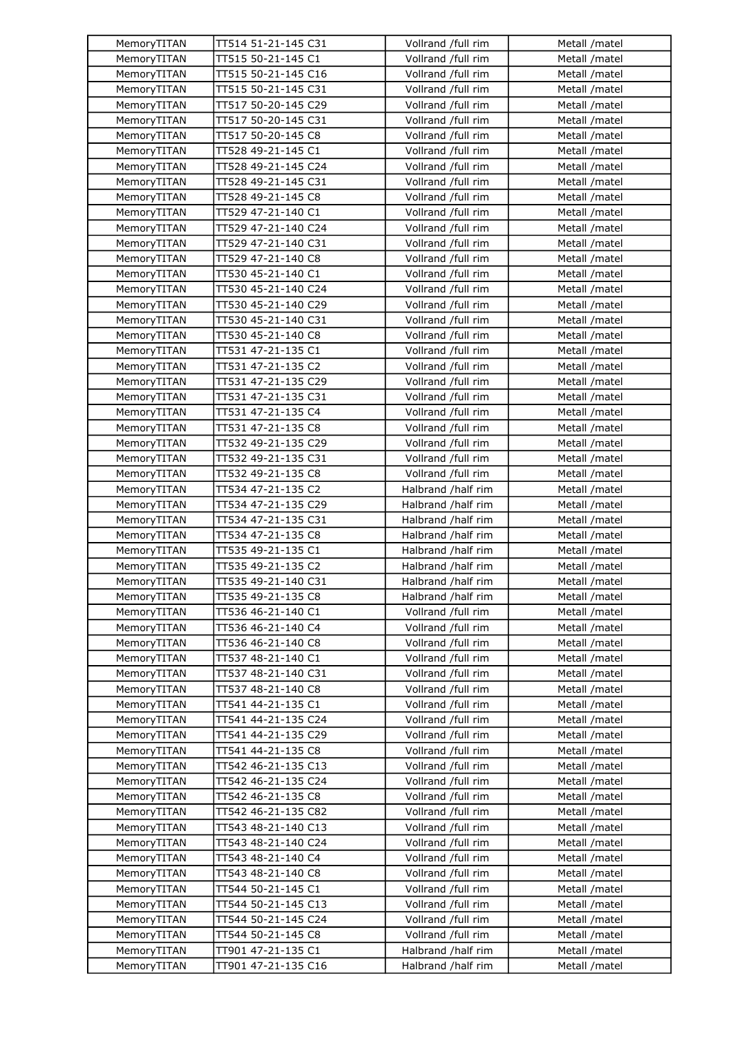| MemoryTITAN | TT514 51-21-145 C31 | Vollrand /full rim | Metall /matel |
|-------------|---------------------|--------------------|---------------|
| MemoryTITAN | TT515 50-21-145 C1  | Vollrand /full rim | Metall /matel |
| MemoryTITAN | TT515 50-21-145 C16 | Vollrand /full rim | Metall /matel |
| MemoryTITAN | TT515 50-21-145 C31 | Vollrand /full rim | Metall /matel |
| MemoryTITAN | TT517 50-20-145 C29 | Vollrand /full rim | Metall /matel |
| MemoryTITAN | TT517 50-20-145 C31 | Vollrand /full rim | Metall /matel |
| MemoryTITAN | TT517 50-20-145 C8  | Vollrand /full rim | Metall /matel |
| MemoryTITAN | TT528 49-21-145 C1  | Vollrand /full rim | Metall /matel |
| MemoryTITAN | TT528 49-21-145 C24 | Vollrand /full rim | Metall /matel |
| MemoryTITAN | TT528 49-21-145 C31 | Vollrand /full rim | Metall /matel |
| MemoryTITAN | TT528 49-21-145 C8  | Vollrand /full rim | Metall /matel |
| MemoryTITAN | TT529 47-21-140 C1  | Vollrand /full rim | Metall /matel |
| MemoryTITAN | TT529 47-21-140 C24 | Vollrand /full rim | Metall /matel |
| MemoryTITAN | TT529 47-21-140 C31 | Vollrand /full rim | Metall /matel |
| MemoryTITAN | TT529 47-21-140 C8  | Vollrand /full rim | Metall /matel |
| MemoryTITAN | TT530 45-21-140 C1  | Vollrand /full rim | Metall /matel |
| MemoryTITAN | TT530 45-21-140 C24 | Vollrand /full rim | Metall /matel |
| MemoryTITAN | TT530 45-21-140 C29 | Vollrand /full rim | Metall /matel |
| MemoryTITAN | TT530 45-21-140 C31 | Vollrand /full rim | Metall /matel |
| MemoryTITAN | TT530 45-21-140 C8  | Vollrand /full rim | Metall /matel |
| MemoryTITAN | TT531 47-21-135 C1  | Vollrand /full rim | Metall /matel |
| MemoryTITAN | TT531 47-21-135 C2  | Vollrand /full rim | Metall /matel |
| MemoryTITAN | TT531 47-21-135 C29 | Vollrand /full rim | Metall /matel |
| MemoryTITAN | TT531 47-21-135 C31 | Vollrand /full rim | Metall /matel |
|             | TT531 47-21-135 C4  | Vollrand /full rim | Metall /matel |
| MemoryTITAN |                     |                    |               |
| MemoryTITAN | TT531 47-21-135 C8  | Vollrand /full rim | Metall /matel |
| MemoryTITAN | TT532 49-21-135 C29 | Vollrand /full rim | Metall /matel |
| MemoryTITAN | TT532 49-21-135 C31 | Vollrand /full rim | Metall /matel |
| MemoryTITAN | TT532 49-21-135 C8  | Vollrand /full rim | Metall /matel |
| MemoryTITAN | TT534 47-21-135 C2  | Halbrand /half rim | Metall /matel |
| MemoryTITAN | TT534 47-21-135 C29 | Halbrand /half rim | Metall /matel |
| MemoryTITAN | TT534 47-21-135 C31 | Halbrand /half rim | Metall /matel |
| MemoryTITAN | TT534 47-21-135 C8  | Halbrand /half rim | Metall /matel |
| MemoryTITAN | TT535 49-21-135 C1  | Halbrand /half rim | Metall /matel |
| MemoryTITAN | TT535 49-21-135 C2  | Halbrand /half rim | Metall /matel |
| MemoryTITAN | TT535 49-21-140 C31 | Halbrand /half rim | Metall /matel |
| MemoryTITAN | TT535 49-21-135 C8  | Halbrand /half rim | Metall /matel |
| MemoryTITAN | TT536 46-21-140 C1  | Vollrand /full rim | Metall /matel |
| MemoryTITAN | TT536 46-21-140 C4  | Vollrand /full rim | Metall /matel |
| MemoryTITAN | TT536 46-21-140 C8  | Vollrand /full rim | Metall /matel |
| MemoryTITAN | TT537 48-21-140 C1  | Vollrand /full rim | Metall /matel |
| MemoryTITAN | TT537 48-21-140 C31 | Vollrand /full rim | Metall /matel |
| MemoryTITAN | TT537 48-21-140 C8  | Vollrand /full rim | Metall /matel |
| MemoryTITAN | TT541 44-21-135 C1  | Vollrand /full rim | Metall /matel |
| MemoryTITAN | TT541 44-21-135 C24 | Vollrand /full rim | Metall /matel |
| MemoryTITAN | TT541 44-21-135 C29 | Vollrand /full rim | Metall /matel |
| MemoryTITAN | TT541 44-21-135 C8  | Vollrand /full rim | Metall /matel |
| MemoryTITAN | TT542 46-21-135 C13 | Vollrand /full rim | Metall /matel |
| MemoryTITAN | TT542 46-21-135 C24 | Vollrand /full rim | Metall /matel |
| MemoryTITAN | TT542 46-21-135 C8  | Vollrand /full rim | Metall /matel |
| MemoryTITAN | TT542 46-21-135 C82 | Vollrand /full rim | Metall /matel |
| MemoryTITAN | TT543 48-21-140 C13 | Vollrand /full rim | Metall /matel |
| MemoryTITAN | TT543 48-21-140 C24 | Vollrand /full rim | Metall /matel |
| MemoryTITAN | TT543 48-21-140 C4  | Vollrand /full rim | Metall /matel |
| MemoryTITAN | TT543 48-21-140 C8  | Vollrand /full rim | Metall /matel |
| MemoryTITAN | TT544 50-21-145 C1  | Vollrand /full rim | Metall /matel |
| MemoryTITAN | TT544 50-21-145 C13 | Vollrand /full rim | Metall /matel |
| MemoryTITAN | TT544 50-21-145 C24 | Vollrand /full rim | Metall /matel |
| MemoryTITAN | TT544 50-21-145 C8  | Vollrand /full rim | Metall /matel |
| MemoryTITAN | TT901 47-21-135 C1  | Halbrand /half rim | Metall /matel |
| MemoryTITAN | TT901 47-21-135 C16 | Halbrand /half rim | Metall /matel |